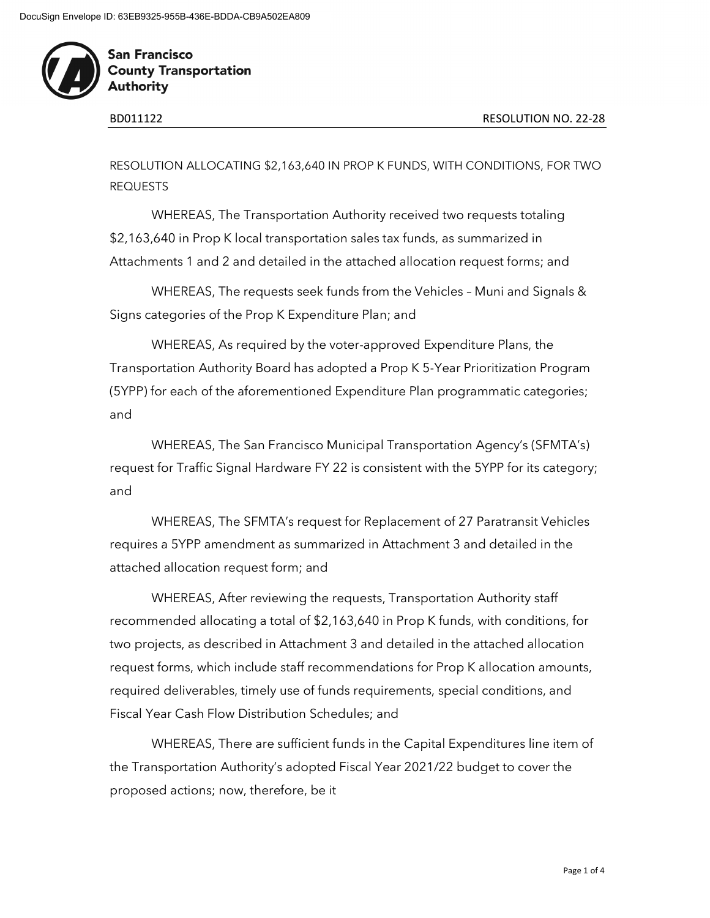

RESOLUTION ALLOCATING \$2,163,640 IN PROP K FUNDS, WITH CONDITIONS, FOR TWO REQUESTS

WHEREAS, The Transportation Authority received two requests totaling \$2,163,640 in Prop K local transportation sales tax funds, as summarized in Attachments 1 and 2 and detailed in the attached allocation request forms; and

WHEREAS, The requests seek funds from the Vehicles – Muni and Signals & Signs categories of the Prop K Expenditure Plan; and

WHEREAS, As required by the voter-approved Expenditure Plans, the Transportation Authority Board has adopted a Prop K 5-Year Prioritization Program (5YPP) for each of the aforementioned Expenditure Plan programmatic categories; and

WHEREAS, The San Francisco Municipal Transportation Agency's (SFMTA's) request for Traffic Signal Hardware FY 22 is consistent with the 5YPP for its category; and

WHEREAS, The SFMTA's request for Replacement of 27 Paratransit Vehicles requires a 5YPP amendment as summarized in Attachment 3 and detailed in the attached allocation request form; and

WHEREAS, After reviewing the requests, Transportation Authority staff recommended allocating a total of \$2,163,640 in Prop K funds, with conditions, for two projects, as described in Attachment 3 and detailed in the attached allocation request forms, which include staff recommendations for Prop K allocation amounts, required deliverables, timely use of funds requirements, special conditions, and Fiscal Year Cash Flow Distribution Schedules; and

WHEREAS, There are sufficient funds in the Capital Expenditures line item of the Transportation Authority's adopted Fiscal Year 2021/22 budget to cover the proposed actions; now, therefore, be it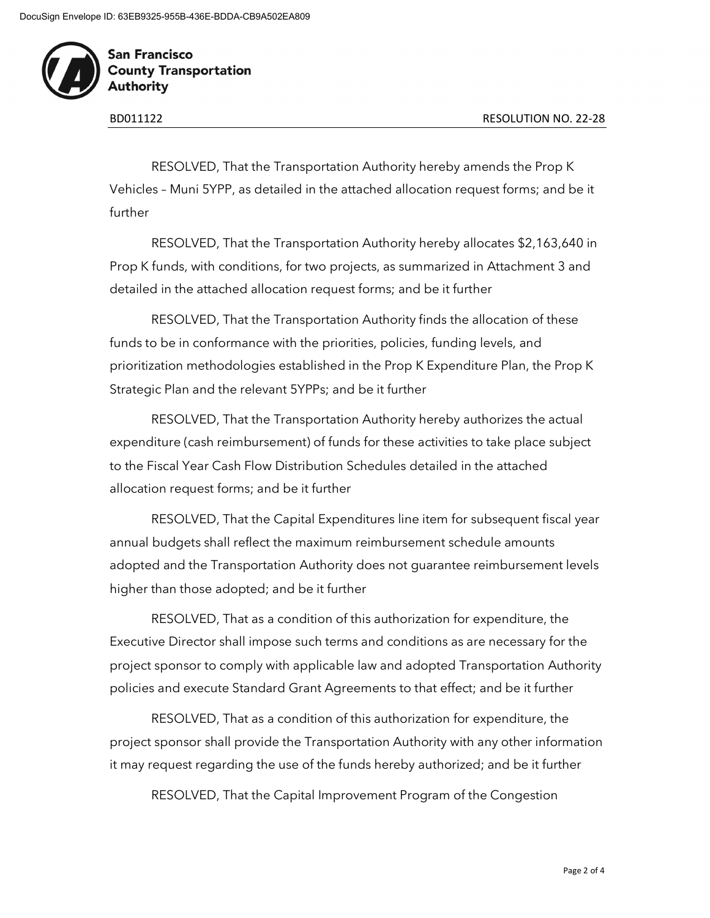

RESOLVED, That the Transportation Authority hereby amends the Prop K Vehicles – Muni 5YPP, as detailed in the attached allocation request forms; and be it further

RESOLVED, That the Transportation Authority hereby allocates \$2,163,640 in Prop K funds, with conditions, for two projects, as summarized in Attachment 3 and detailed in the attached allocation request forms; and be it further

RESOLVED, That the Transportation Authority finds the allocation of these funds to be in conformance with the priorities, policies, funding levels, and prioritization methodologies established in the Prop K Expenditure Plan, the Prop K Strategic Plan and the relevant 5YPPs; and be it further

RESOLVED, That the Transportation Authority hereby authorizes the actual expenditure (cash reimbursement) of funds for these activities to take place subject to the Fiscal Year Cash Flow Distribution Schedules detailed in the attached allocation request forms; and be it further

RESOLVED, That the Capital Expenditures line item for subsequent fiscal year annual budgets shall reflect the maximum reimbursement schedule amounts adopted and the Transportation Authority does not guarantee reimbursement levels higher than those adopted; and be it further

RESOLVED, That as a condition of this authorization for expenditure, the Executive Director shall impose such terms and conditions as are necessary for the project sponsor to comply with applicable law and adopted Transportation Authority policies and execute Standard Grant Agreements to that effect; and be it further

RESOLVED, That as a condition of this authorization for expenditure, the project sponsor shall provide the Transportation Authority with any other information it may request regarding the use of the funds hereby authorized; and be it further

RESOLVED, That the Capital Improvement Program of the Congestion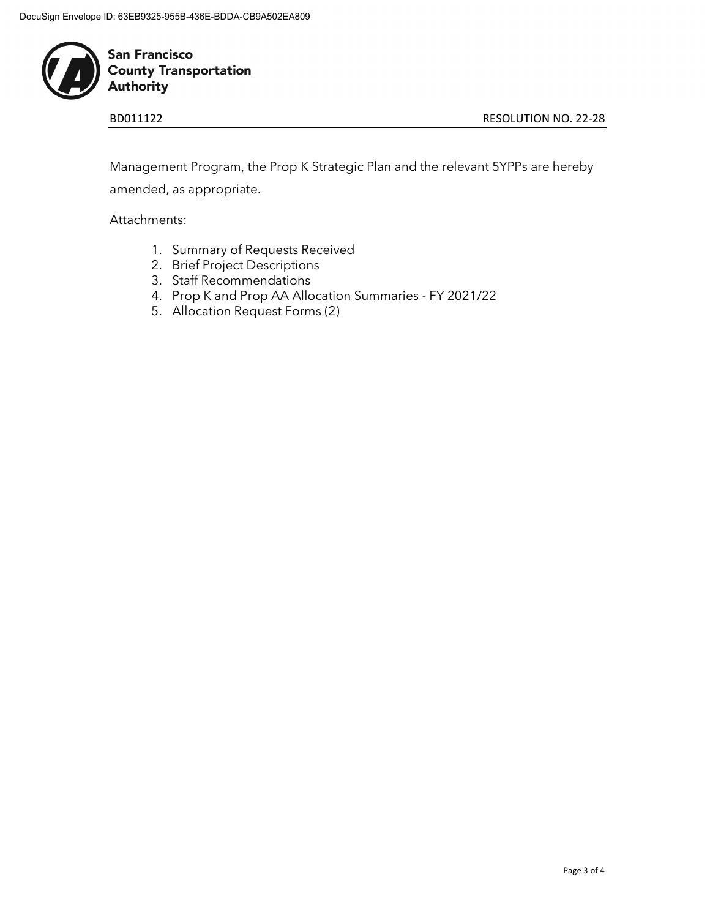

BD011122 RESOLUTION NO. 22-28

Management Program, the Prop K Strategic Plan and the relevant 5YPPs are hereby amended, as appropriate.

Attachments:

- 1. Summary of Requests Received
- 2. Brief Project Descriptions
- 3. Staff Recommendations
- 4. Prop K and Prop AA Allocation Summaries FY 2021/22
- 5. Allocation Request Forms (2)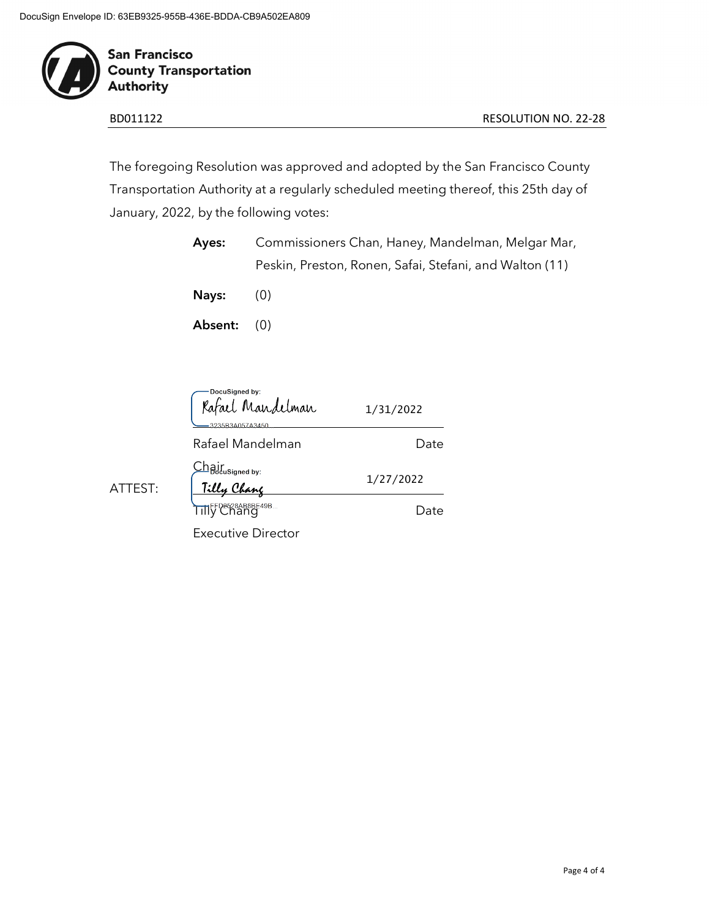

The foregoing Resolution was approved and adopted by the San Francisco County Transportation Authority at a regularly scheduled meeting thereof, this 25th day of January, 2022, by the following votes:

| Ayes:         | Commissioners Chan, Haney, Mandelman, Melgar Mar,       |
|---------------|---------------------------------------------------------|
|               | Peskin, Preston, Ronen, Safai, Stefani, and Walton (11) |
| Nays:         | (O)                                                     |
| Absent: $(0)$ |                                                         |

|         | -DocuSigned by:<br>Rafael Mandelman<br>3235B3A057A3450 | 1/31/2022 |
|---------|--------------------------------------------------------|-----------|
|         | Rafael Mandelman                                       | Date      |
| ATTEST: | Ch <sub>B</sub> j[usigned by:<br>Tilly Chang           | 1/27/2022 |
|         | Tilly Chang                                            | Date      |
|         | <b>Executive Director</b>                              |           |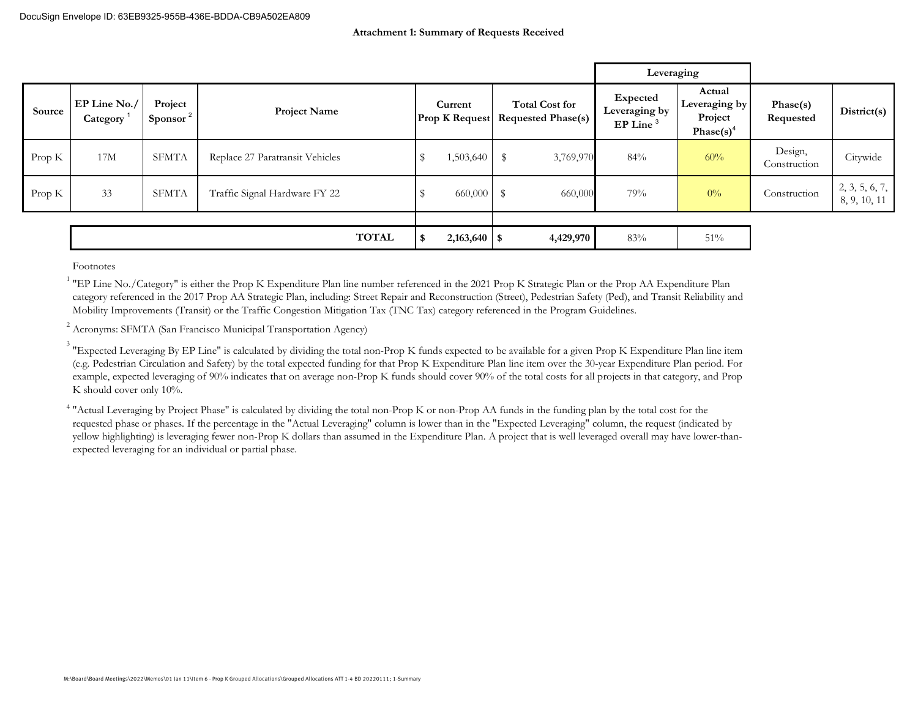|        |                          |                                 |                                 |     |                                  |                                                    |           | Leveraging                                          |                                                                |                         |                                |
|--------|--------------------------|---------------------------------|---------------------------------|-----|----------------------------------|----------------------------------------------------|-----------|-----------------------------------------------------|----------------------------------------------------------------|-------------------------|--------------------------------|
| Source | EP Line No./<br>Category | Project<br>Sponsor <sup>2</sup> | <b>Project Name</b>             |     | Current<br><b>Prop K Request</b> | <b>Total Cost for</b><br><b>Requested Phase(s)</b> |           | Expected<br>Leveraging by<br>$EP$ Line <sup>3</sup> | Actual<br>Leveraging by<br>Project<br>Phase $(s)$ <sup>4</sup> | Phase(s)<br>Requested   | District(s)                    |
| Prop K | 17M                      | SFMTA                           | Replace 27 Paratransit Vehicles |     | 1,503,640                        | $\mathbb S$                                        | 3,769,970 | 84%                                                 | 60%                                                            | Design,<br>Construction | Citywide                       |
| Prop K | 33                       | SFMTA                           | Traffic Signal Hardware FY 22   |     | 660,000                          | \$                                                 | 660,000   | 79%                                                 | $0\%$                                                          | Construction            | 2, 3, 5, 6, 7,<br>8, 9, 10, 11 |
|        |                          |                                 |                                 |     |                                  |                                                    |           |                                                     |                                                                |                         |                                |
|        |                          |                                 | <b>TOTAL</b>                    | -\$ | $2,163,640$ \$                   |                                                    | 4,429,970 | 83%                                                 | 51%                                                            |                         |                                |

Footnotes

<sup>1</sup> "EP Line No./Category" is either the Prop K Expenditure Plan line number referenced in the 2021 Prop K Strategic Plan or the Prop AA Expenditure Plan category referenced in the 2017 Prop AA Strategic Plan, including: Street Repair and Reconstruction (Street), Pedestrian Safety (Ped), and Transit Reliability and Mobility Improvements (Transit) or the Traffic Congestion Mitigation Tax (TNC Tax) category referenced in the Program Guidelines.

<sup>2</sup> Acronyms: SFMTA (San Francisco Municipal Transportation Agency)

 $^3$  "Expected Leveraging By EP Line" is calculated by dividing the total non-Prop K funds expected to be available for a given Prop K Expenditure Plan line item (e.g. Pedestrian Circulation and Safety) by the total expected funding for that Prop K Expenditure Plan line item over the 30-year Expenditure Plan period. For example, expected leveraging of 90% indicates that on average non-Prop K funds should cover 90% of the total costs for all projects in that category, and Prop K should cover only 10%.

<sup>4</sup> "Actual Leveraging by Project Phase" is calculated by dividing the total non-Prop K or non-Prop AA funds in the funding plan by the total cost for the requested phase or phases. If the percentage in the "Actual Leveraging" column is lower than in the "Expected Leveraging" column, the request (indicated by yellow highlighting) is leveraging fewer non-Prop K dollars than assumed in the Expenditure Plan. A project that is well leveraged overall may have lower-thanexpected leveraging for an individual or partial phase.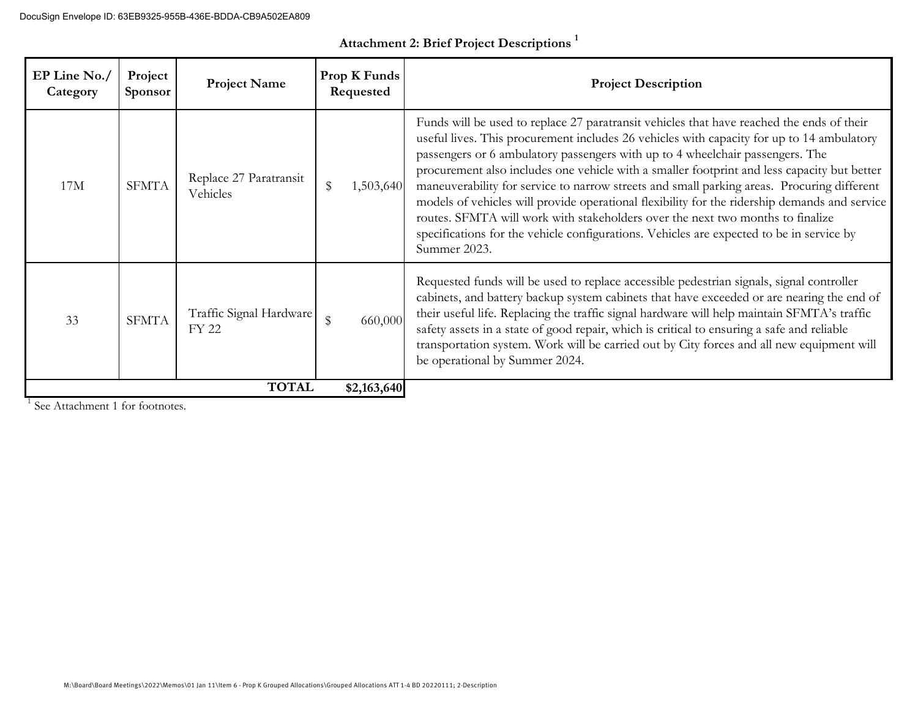| EP Line No./<br>Category | Project<br><b>Sponsor</b> | <b>Project Name</b>                     | Prop K Funds<br>Requested | <b>Project Description</b>                                                                                                                                                                                                                                                                                                                                                                                                                                                                                                                                                                                                                                                                                                                                          |
|--------------------------|---------------------------|-----------------------------------------|---------------------------|---------------------------------------------------------------------------------------------------------------------------------------------------------------------------------------------------------------------------------------------------------------------------------------------------------------------------------------------------------------------------------------------------------------------------------------------------------------------------------------------------------------------------------------------------------------------------------------------------------------------------------------------------------------------------------------------------------------------------------------------------------------------|
| 17M                      | <b>SFMTA</b>              | Replace 27 Paratransit<br>Vehicles      | \$<br>1,503,640           | Funds will be used to replace 27 paratransit vehicles that have reached the ends of their<br>useful lives. This procurement includes 26 vehicles with capacity for up to 14 ambulatory<br>passengers or 6 ambulatory passengers with up to 4 wheelchair passengers. The<br>procurement also includes one vehicle with a smaller footprint and less capacity but better<br>maneuverability for service to narrow streets and small parking areas. Procuring different<br>models of vehicles will provide operational flexibility for the ridership demands and service<br>routes. SFMTA will work with stakeholders over the next two months to finalize<br>specifications for the vehicle configurations. Vehicles are expected to be in service by<br>Summer 2023. |
| 33                       | <b>SFMTA</b>              | Traffic Signal Hardware<br><b>FY 22</b> | \$<br>660,000             | Requested funds will be used to replace accessible pedestrian signals, signal controller<br>cabinets, and battery backup system cabinets that have exceeded or are nearing the end of<br>their useful life. Replacing the traffic signal hardware will help maintain SFMTA's traffic<br>safety assets in a state of good repair, which is critical to ensuring a safe and reliable<br>transportation system. Work will be carried out by City forces and all new equipment will<br>be operational by Summer 2024.                                                                                                                                                                                                                                                   |
|                          |                           | <b>TOTAL</b>                            | \$2,163,640               |                                                                                                                                                                                                                                                                                                                                                                                                                                                                                                                                                                                                                                                                                                                                                                     |

**Attachment 2: Brief Project Descriptions <sup>1</sup>**

<sup>1</sup> See Attachment 1 for footnotes.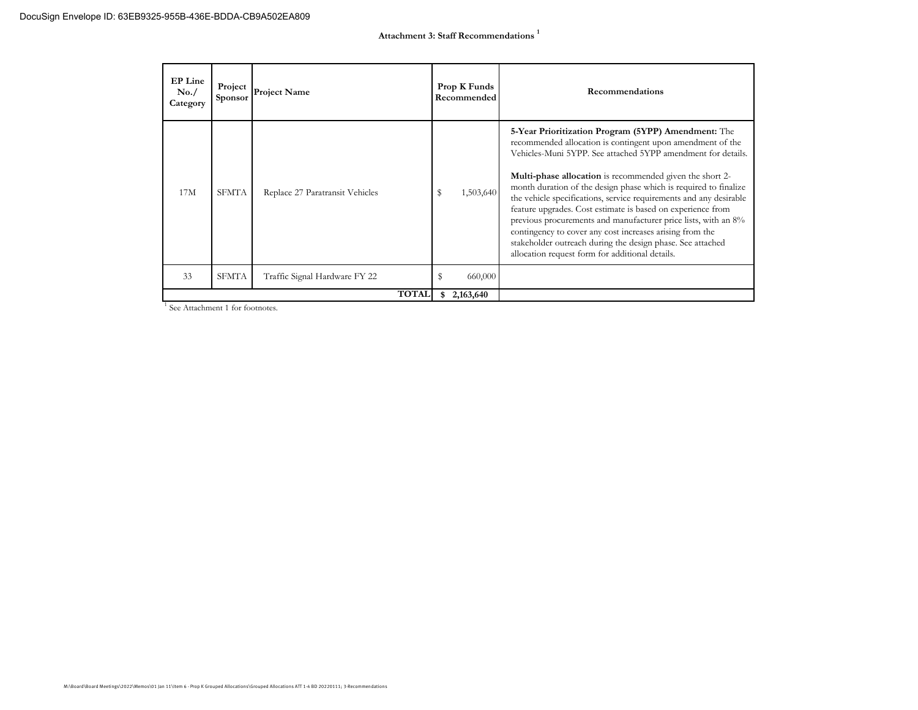| EP Line<br>No. /<br>Category | Project<br><b>Sponsor</b> | <b>Project Name</b>             |    | Prop K Funds<br>Recommended | Recommendations                                                                                                                                                                                                                                                                                                                                                                                                                                                                                                                                                                                                                                                                                              |
|------------------------------|---------------------------|---------------------------------|----|-----------------------------|--------------------------------------------------------------------------------------------------------------------------------------------------------------------------------------------------------------------------------------------------------------------------------------------------------------------------------------------------------------------------------------------------------------------------------------------------------------------------------------------------------------------------------------------------------------------------------------------------------------------------------------------------------------------------------------------------------------|
| 17M                          | <b>SFMTA</b>              | Replace 27 Paratransit Vehicles | s  | 1,503,640                   | 5-Year Prioritization Program (5YPP) Amendment: The<br>recommended allocation is contingent upon amendment of the<br>Vehicles-Muni 5YPP. See attached 5YPP amendment for details.<br><b>Multi-phase allocation</b> is recommended given the short 2-<br>month duration of the design phase which is required to finalize<br>the vehicle specifications, service requirements and any desirable<br>feature upgrades. Cost estimate is based on experience from<br>previous procurements and manufacturer price lists, with an 8%<br>contingency to cover any cost increases arising from the<br>stakeholder outreach during the design phase. See attached<br>allocation request form for additional details. |
| 33                           | <b>SFMTA</b>              | Traffic Signal Hardware FY 22   |    | 660,000                     |                                                                                                                                                                                                                                                                                                                                                                                                                                                                                                                                                                                                                                                                                                              |
|                              |                           | <b>TOTAL</b>                    | \$ | 2,163,640                   |                                                                                                                                                                                                                                                                                                                                                                                                                                                                                                                                                                                                                                                                                                              |

<sup>1</sup> See Attachment 1 for footnotes.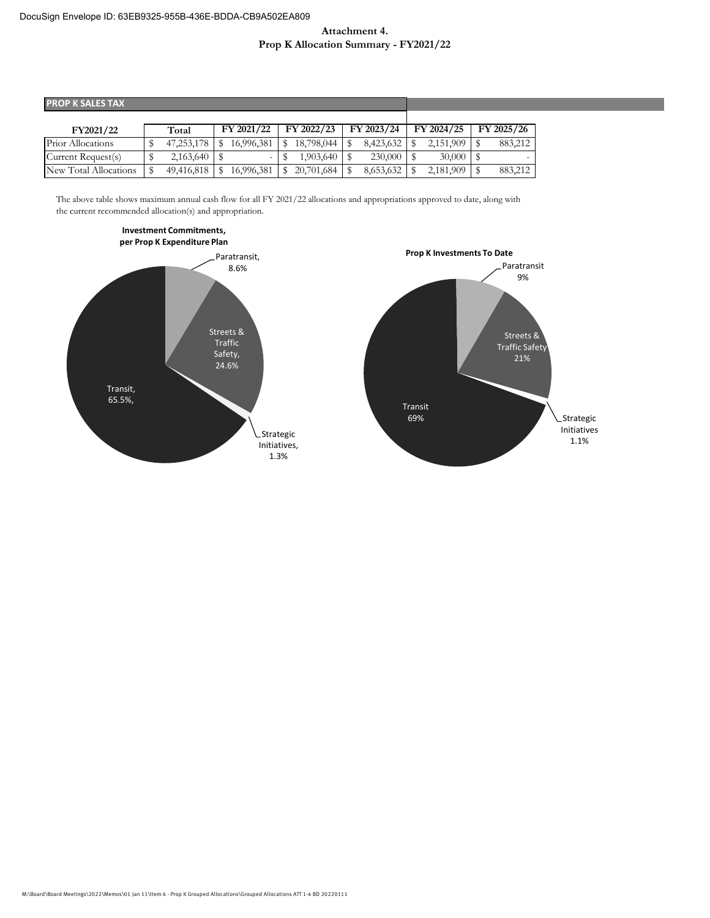#### **Attachment 4. Prop K Allocation Summary - FY2021/22**

| <b>PROP K SALES TAX</b> |  |            |  |            |  |                  |  |            |            |            |
|-------------------------|--|------------|--|------------|--|------------------|--|------------|------------|------------|
|                         |  |            |  |            |  |                  |  |            |            |            |
| FY2021/22               |  | Total      |  | FY 2021/22 |  | FY 2022/23       |  | FY 2023/24 | FY 2024/25 | FY 2025/26 |
| Prior Allocations       |  | 47,253,178 |  | 16.996.381 |  | 18,798,044       |  | 8,423,632  | 2,151,909  | 883,212    |
| Current Request(s)      |  | 2,163,640  |  | $\sim$ 1   |  | $1,903,640$   \$ |  | 230,000    | 30,000     |            |
| New Total Allocations   |  | 49,416,818 |  | 16,996,381 |  | 20,701,684       |  | 8,653,632  | 2,181,909  | 883,212    |

The above table shows maximum annual cash flow for all FY 2021/22 allocations and appropriations approved to date, along with the current recommended allocation(s) and appropriation.



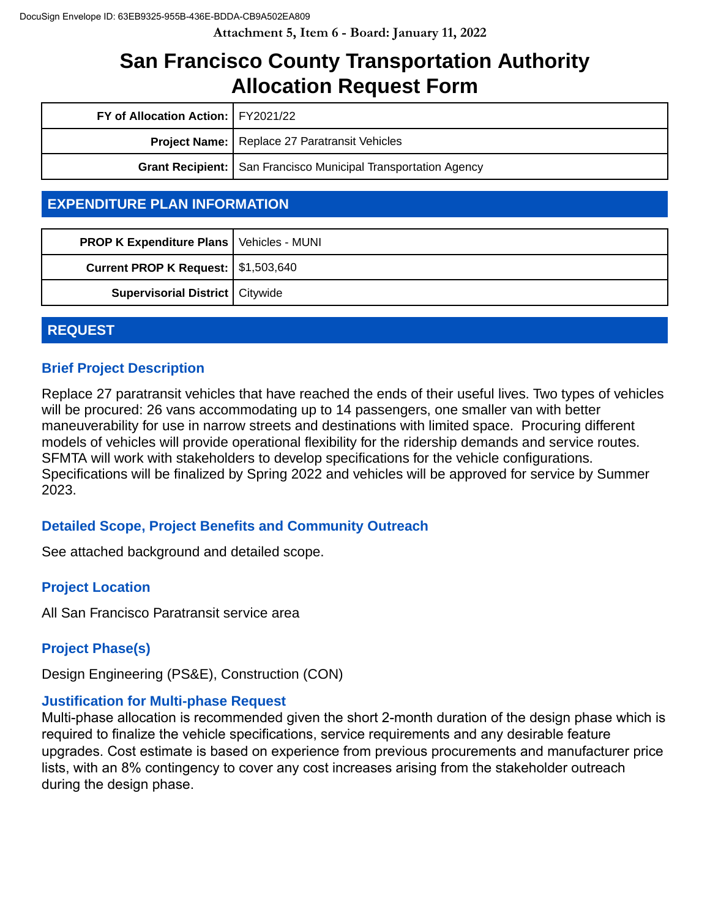**Attachment 5, Item 6 - Board: January 11, 2022**

# **San Francisco County Transportation Authority Allocation Request Form**

| FY of Allocation Action:   FY2021/22                 |                                                                  |  |
|------------------------------------------------------|------------------------------------------------------------------|--|
| <b>Project Name:</b> Replace 27 Paratransit Vehicles |                                                                  |  |
|                                                      | Grant Recipient:   San Francisco Municipal Transportation Agency |  |

# **EXPENDITURE PLAN INFORMATION**

| <b>PROP K Expenditure Plans   Vehicles - MUNI</b> |  |
|---------------------------------------------------|--|
| <b>Current PROP K Request:   \$1,503,640</b>      |  |
| Supervisorial District   Citywide                 |  |

# **REQUEST**

# **Brief Project Description**

Replace 27 paratransit vehicles that have reached the ends of their useful lives. Two types of vehicles will be procured: 26 vans accommodating up to 14 passengers, one smaller van with better maneuverability for use in narrow streets and destinations with limited space. Procuring different models of vehicles will provide operational flexibility for the ridership demands and service routes. SFMTA will work with stakeholders to develop specifications for the vehicle configurations. Specifications will be finalized by Spring 2022 and vehicles will be approved for service by Summer 2023.

# **Detailed Scope, Project Benefits and Community Outreach**

See attached background and detailed scope.

# **Project Location**

All San Francisco Paratransit service area

# **Project Phase(s)**

Design Engineering (PS&E), Construction (CON)

# **Justification for Multi-phase Request**

Multi-phase allocation is recommended given the short 2-month duration of the design phase which is required to finalize the vehicle specifications, service requirements and any desirable feature upgrades. Cost estimate is based on experience from previous procurements and manufacturer price lists, with an 8% contingency to cover any cost increases arising from the stakeholder outreach during the design phase.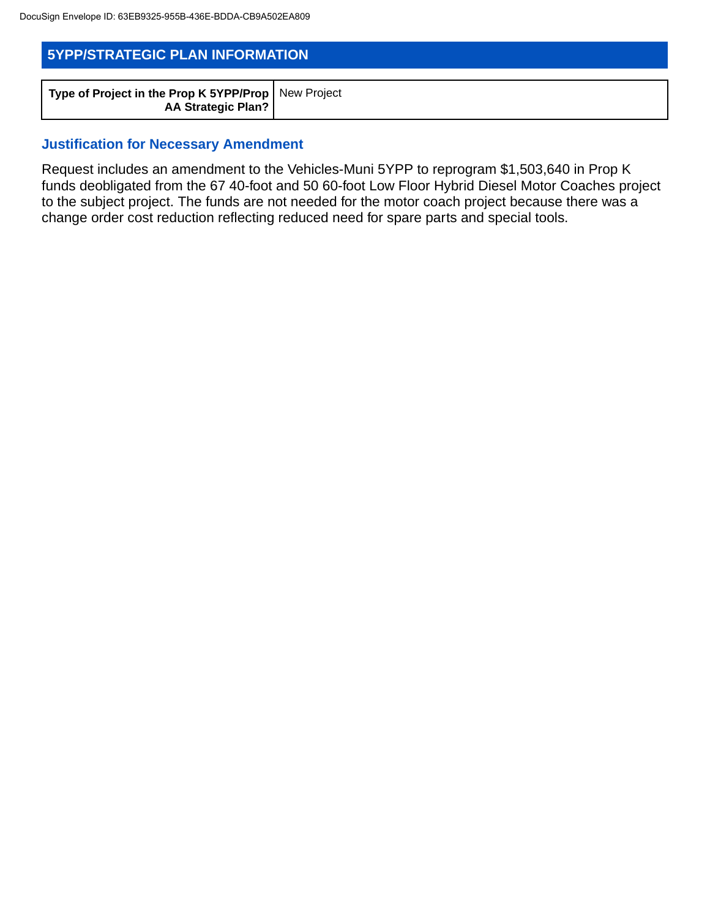| <b>5YPP/STRATEGIC PLAN INFORMATION</b>                                             |  |  |  |  |
|------------------------------------------------------------------------------------|--|--|--|--|
| Type of Project in the Prop K 5YPP/Prop   New Project<br><b>AA Strategic Plan?</b> |  |  |  |  |

### **Justification for Necessary Amendment**

Request includes an amendment to the Vehicles-Muni 5YPP to reprogram \$1,503,640 in Prop K funds deobligated from the 67 40-foot and 50 60-foot Low Floor Hybrid Diesel Motor Coaches project to the subject project. The funds are not needed for the motor coach project because there was a change order cost reduction reflecting reduced need for spare parts and special tools.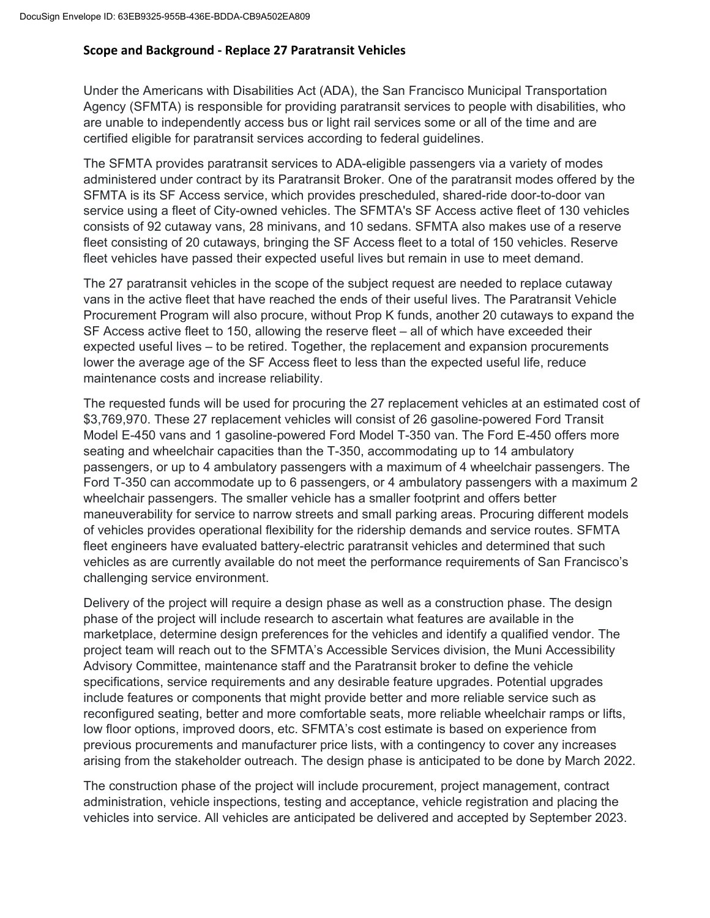#### **Scope and Background ‐ Replace 27 Paratransit Vehicles**

Under the Americans with Disabilities Act (ADA), the San Francisco Municipal Transportation Agency (SFMTA) is responsible for providing paratransit services to people with disabilities, who are unable to independently access bus or light rail services some or all of the time and are certified eligible for paratransit services according to federal guidelines.

The SFMTA provides paratransit services to ADA-eligible passengers via a variety of modes administered under contract by its Paratransit Broker. One of the paratransit modes offered by the SFMTA is its SF Access service, which provides prescheduled, shared-ride door-to-door van service using a fleet of City-owned vehicles. The SFMTA's SF Access active fleet of 130 vehicles consists of 92 cutaway vans, 28 minivans, and 10 sedans. SFMTA also makes use of a reserve fleet consisting of 20 cutaways, bringing the SF Access fleet to a total of 150 vehicles. Reserve fleet vehicles have passed their expected useful lives but remain in use to meet demand.

The 27 paratransit vehicles in the scope of the subject request are needed to replace cutaway vans in the active fleet that have reached the ends of their useful lives. The Paratransit Vehicle Procurement Program will also procure, without Prop K funds, another 20 cutaways to expand the SF Access active fleet to 150, allowing the reserve fleet – all of which have exceeded their expected useful lives – to be retired. Together, the replacement and expansion procurements lower the average age of the SF Access fleet to less than the expected useful life, reduce maintenance costs and increase reliability.

The requested funds will be used for procuring the 27 replacement vehicles at an estimated cost of \$3,769,970. These 27 replacement vehicles will consist of 26 gasoline-powered Ford Transit Model E-450 vans and 1 gasoline-powered Ford Model T-350 van. The Ford E-450 offers more seating and wheelchair capacities than the T-350, accommodating up to 14 ambulatory passengers, or up to 4 ambulatory passengers with a maximum of 4 wheelchair passengers. The Ford T-350 can accommodate up to 6 passengers, or 4 ambulatory passengers with a maximum 2 wheelchair passengers. The smaller vehicle has a smaller footprint and offers better maneuverability for service to narrow streets and small parking areas. Procuring different models of vehicles provides operational flexibility for the ridership demands and service routes. SFMTA fleet engineers have evaluated battery-electric paratransit vehicles and determined that such vehicles as are currently available do not meet the performance requirements of San Francisco's challenging service environment.

Delivery of the project will require a design phase as well as a construction phase. The design phase of the project will include research to ascertain what features are available in the marketplace, determine design preferences for the vehicles and identify a qualified vendor. The project team will reach out to the SFMTA's Accessible Services division, the Muni Accessibility Advisory Committee, maintenance staff and the Paratransit broker to define the vehicle specifications, service requirements and any desirable feature upgrades. Potential upgrades include features or components that might provide better and more reliable service such as reconfigured seating, better and more comfortable seats, more reliable wheelchair ramps or lifts, low floor options, improved doors, etc. SFMTA's cost estimate is based on experience from previous procurements and manufacturer price lists, with a contingency to cover any increases arising from the stakeholder outreach. The design phase is anticipated to be done by March 2022.

The construction phase of the project will include procurement, project management, contract administration, vehicle inspections, testing and acceptance, vehicle registration and placing the vehicles into service. All vehicles are anticipated be delivered and accepted by September 2023.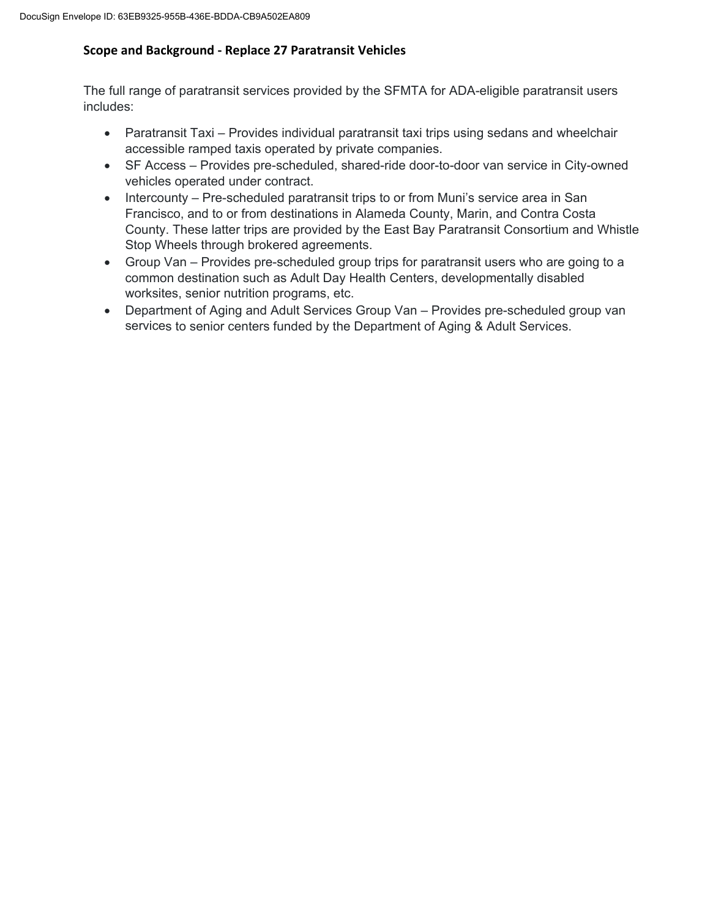### **Scope and Background ‐ Replace 27 Paratransit Vehicles**

The full range of paratransit services provided by the SFMTA for ADA-eligible paratransit users includes:

- Paratransit Taxi Provides individual paratransit taxi trips using sedans and wheelchair accessible ramped taxis operated by private companies.
- SF Access Provides pre-scheduled, shared-ride door-to-door van service in City-owned vehicles operated under contract.
- Intercounty Pre-scheduled paratransit trips to or from Muni's service area in San Francisco, and to or from destinations in Alameda County, Marin, and Contra Costa County. These latter trips are provided by the East Bay Paratransit Consortium and Whistle Stop Wheels through brokered agreements.
- Group Van Provides pre-scheduled group trips for paratransit users who are going to a common destination such as Adult Day Health Centers, developmentally disabled worksites, senior nutrition programs, etc.
- Department of Aging and Adult Services Group Van Provides pre-scheduled group van services to senior centers funded by the Department of Aging & Adult Services.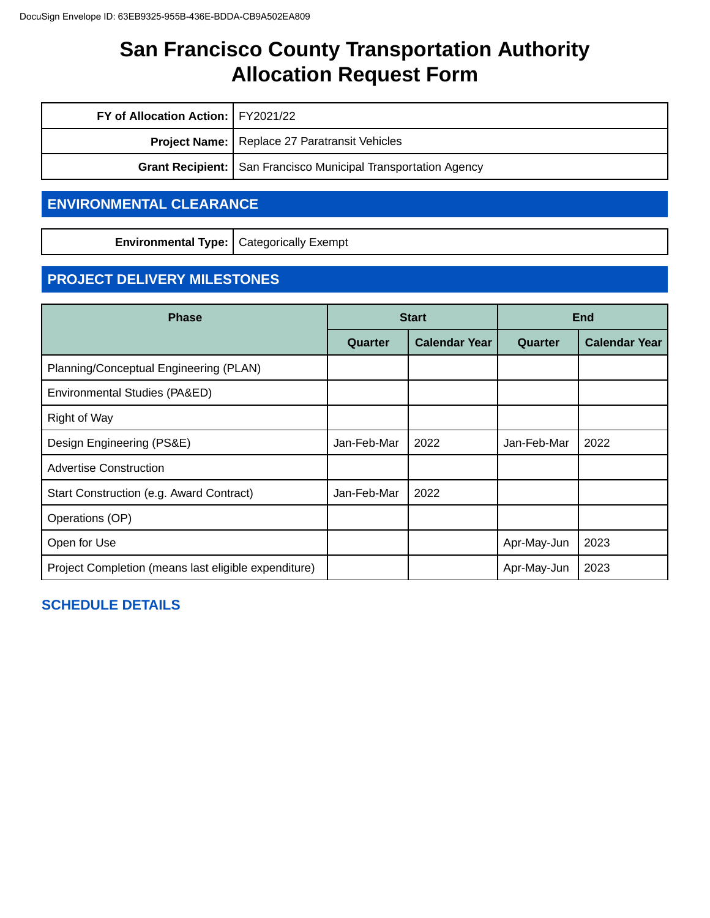| FY of Allocation Action:   FY2021/22                 |                                                                         |  |
|------------------------------------------------------|-------------------------------------------------------------------------|--|
| <b>Project Name:</b> Replace 27 Paratransit Vehicles |                                                                         |  |
|                                                      | <b>Grant Recipient:   San Francisco Municipal Transportation Agency</b> |  |

# **ENVIRONMENTAL CLEARANCE**

**Environmental Type:** Categorically Exempt

# **PROJECT DELIVERY MILESTONES**

| <b>Phase</b>                                         |             | <b>Start</b>         | <b>End</b>  |                      |  |  |
|------------------------------------------------------|-------------|----------------------|-------------|----------------------|--|--|
|                                                      | Quarter     | <b>Calendar Year</b> | Quarter     | <b>Calendar Year</b> |  |  |
| Planning/Conceptual Engineering (PLAN)               |             |                      |             |                      |  |  |
| Environmental Studies (PA&ED)                        |             |                      |             |                      |  |  |
| Right of Way                                         |             |                      |             |                      |  |  |
| Design Engineering (PS&E)                            | Jan-Feb-Mar | 2022                 | Jan-Feb-Mar | 2022                 |  |  |
| <b>Advertise Construction</b>                        |             |                      |             |                      |  |  |
| Start Construction (e.g. Award Contract)             | Jan-Feb-Mar | 2022                 |             |                      |  |  |
| Operations (OP)                                      |             |                      |             |                      |  |  |
| Open for Use                                         |             |                      | Apr-May-Jun | 2023                 |  |  |
| Project Completion (means last eligible expenditure) |             |                      | Apr-May-Jun | 2023                 |  |  |

# **SCHEDULE DETAILS**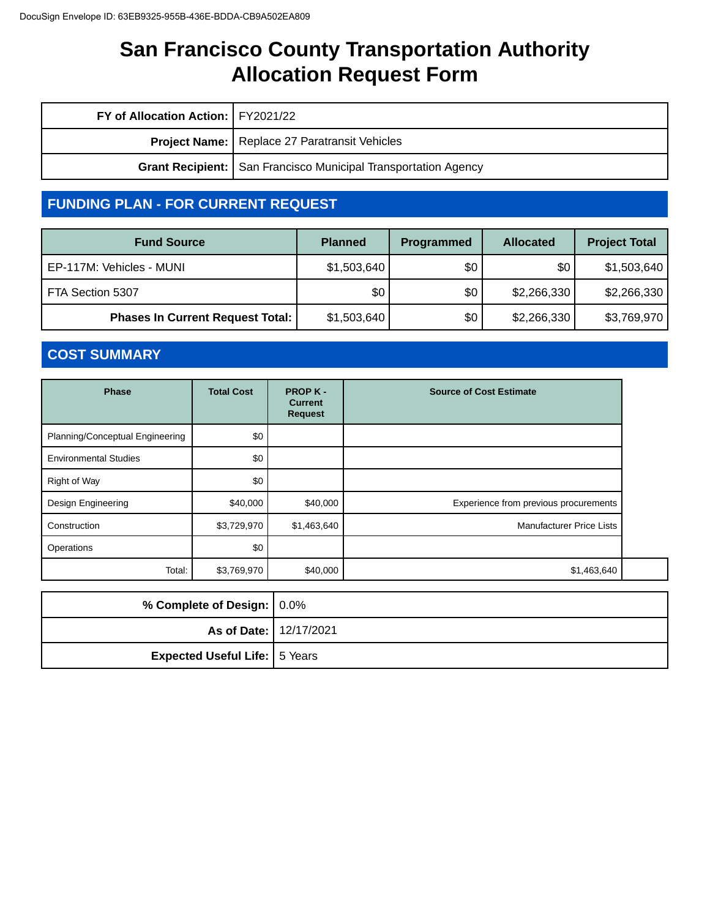| FY of Allocation Action:   FY2021/22                 |                                                                  |  |
|------------------------------------------------------|------------------------------------------------------------------|--|
| <b>Project Name:</b> Replace 27 Paratransit Vehicles |                                                                  |  |
|                                                      | Grant Recipient:   San Francisco Municipal Transportation Agency |  |

# **FUNDING PLAN - FOR CURRENT REQUEST**

| <b>Fund Source</b>                      | <b>Planned</b> | Programmed | <b>Allocated</b> | <b>Project Total</b> |
|-----------------------------------------|----------------|------------|------------------|----------------------|
| EP-117M: Vehicles - MUNI                | \$1,503,640    | \$0        | \$0              | \$1,503,640          |
| FTA Section 5307                        | \$0            | \$0        | \$2,266,330      | \$2,266,330          |
| <b>Phases In Current Request Total:</b> | \$1,503,640    | \$0        | \$2,266,330      | \$3,769,970          |

# **COST SUMMARY**

| <b>Phase</b>                    | <b>Total Cost</b> | <b>PROPK-</b><br><b>Current</b><br><b>Request</b> | <b>Source of Cost Estimate</b>        |
|---------------------------------|-------------------|---------------------------------------------------|---------------------------------------|
| Planning/Conceptual Engineering | \$0               |                                                   |                                       |
| <b>Environmental Studies</b>    | \$0               |                                                   |                                       |
| Right of Way                    | \$0               |                                                   |                                       |
| Design Engineering              | \$40,000          | \$40,000                                          | Experience from previous procurements |
| Construction                    | \$3,729,970       | \$1,463,640                                       | <b>Manufacturer Price Lists</b>       |
| Operations                      | \$0               |                                                   |                                       |
| Total:                          | \$3,769,970       | \$40,000                                          | \$1,463,640                           |

| % Complete of Design: 0.0%           |  |
|--------------------------------------|--|
| <b>As of Date: 12/17/2021</b>        |  |
| <b>Expected Useful Life:</b> 5 Years |  |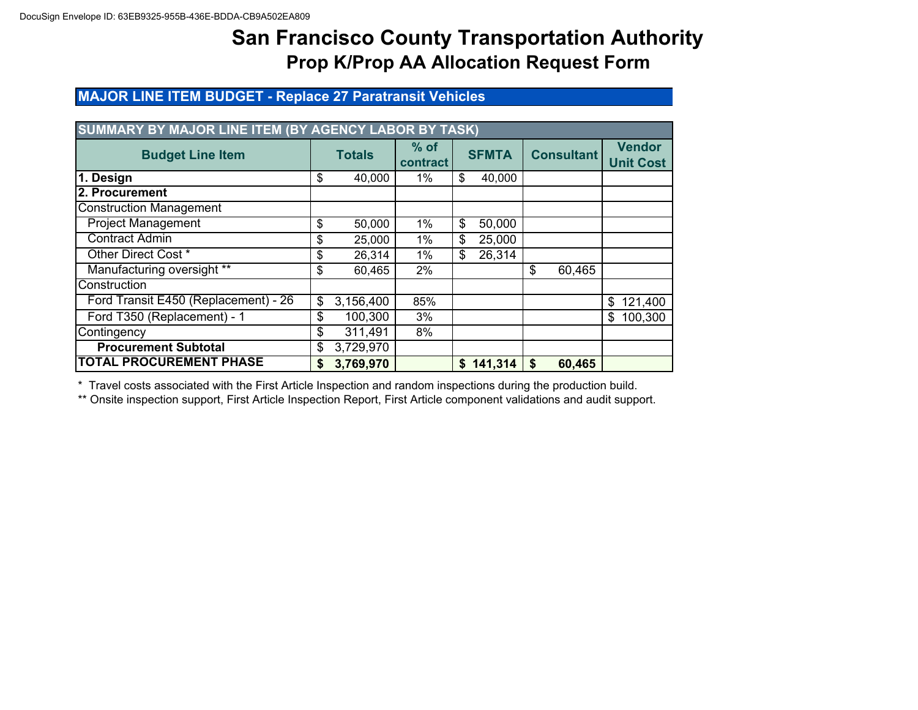# **MAJOR LINE ITEM BUDGET - Replace 27 Paratransit Vehicles**

| SUMMARY BY MAJOR LINE ITEM (BY AGENCY LABOR BY TASK) |    |               |                    |    |              |    |                   |                                   |
|------------------------------------------------------|----|---------------|--------------------|----|--------------|----|-------------------|-----------------------------------|
| <b>Budget Line Item</b>                              |    | <b>Totals</b> | $%$ of<br>contract |    | <b>SFMTA</b> |    | <b>Consultant</b> | <b>Vendor</b><br><b>Unit Cost</b> |
| 1. Design                                            | \$ | 40,000        | 1%                 | \$ | 40,000       |    |                   |                                   |
| l2. Procurement                                      |    |               |                    |    |              |    |                   |                                   |
| <b>Construction Management</b>                       |    |               |                    |    |              |    |                   |                                   |
| <b>Project Management</b>                            | \$ | 50,000        | 1%                 | \$ | 50,000       |    |                   |                                   |
| <b>Contract Admin</b>                                | \$ | 25,000        | $1\%$              | \$ | 25,000       |    |                   |                                   |
| Other Direct Cost *                                  | \$ | 26,314        | 1%                 | \$ | 26,314       |    |                   |                                   |
| Manufacturing oversight **                           | \$ | 60,465        | 2%                 |    |              | \$ | 60,465            |                                   |
| Construction                                         |    |               |                    |    |              |    |                   |                                   |
| Ford Transit E450 (Replacement) - 26                 | \$ | 3,156,400     | 85%                |    |              |    |                   | \$<br>121,400                     |
| Ford T350 (Replacement) - 1                          | \$ | 100,300       | 3%                 |    |              |    |                   | 100,300<br>\$                     |
| Contingency                                          | \$ | 311,491       | 8%                 |    |              |    |                   |                                   |
| <b>Procurement Subtotal</b>                          | \$ | 3,729,970     |                    |    |              |    |                   |                                   |
| <b>TOTAL PROCUREMENT PHASE</b>                       | S  | 3,769,970     |                    | \$ | 141,314      | \$ | 60,465            |                                   |

\* Travel costs associated with the First Article Inspection and random inspections during the production build.

\*\* Onsite inspection support, First Article Inspection Report, First Article component validations and audit support.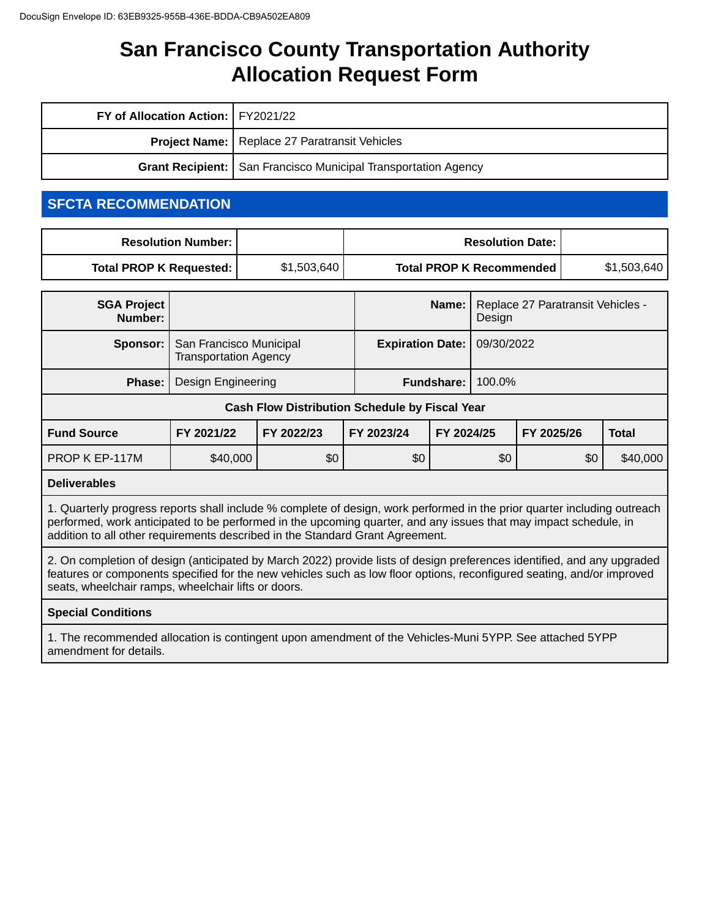| FY of Allocation Action:   FY2021/22 |                                                                  |
|--------------------------------------|------------------------------------------------------------------|
|                                      | <b>Project Name:</b> Replace 27 Paratransit Vehicles             |
|                                      | Grant Recipient:   San Francisco Municipal Transportation Agency |

# **SFCTA RECOMMENDATION**

| <b>Resolution Number:</b> I |             | <b>Resolution Date: I</b>       |             |
|-----------------------------|-------------|---------------------------------|-------------|
| Total PROP K Requested:     | \$1,503,640 | <b>Total PROP K Recommended</b> | \$1,503,640 |

| <b>SGA Project</b><br>Number:                         |                                                         |            |                                       | Name:      | Design | Replace 27 Paratransit Vehicles - |              |
|-------------------------------------------------------|---------------------------------------------------------|------------|---------------------------------------|------------|--------|-----------------------------------|--------------|
| Sponsor:                                              | San Francisco Municipal<br><b>Transportation Agency</b> |            | <b>Expiration Date:</b><br>09/30/2022 |            |        |                                   |              |
| Phase:                                                | Design Engineering                                      |            | 100.0%<br><b>Fundshare:</b>           |            |        |                                   |              |
| <b>Cash Flow Distribution Schedule by Fiscal Year</b> |                                                         |            |                                       |            |        |                                   |              |
| <b>Fund Source</b>                                    | FY 2021/22                                              | FY 2022/23 | FY 2023/24                            | FY 2024/25 |        | FY 2025/26                        | <b>Total</b> |
| PROP K EP-117M                                        | \$40,000                                                | \$0        | \$0                                   |            | \$0    | \$0                               | \$40,000     |

#### **Deliverables**

1. Quarterly progress reports shall include % complete of design, work performed in the prior quarter including outreach performed, work anticipated to be performed in the upcoming quarter, and any issues that may impact schedule, in addition to all other requirements described in the Standard Grant Agreement.

2. On completion of design (anticipated by March 2022) provide lists of design preferences identified, and any upgraded features or components specified for the new vehicles such as low floor options, reconfigured seating, and/or improved seats, wheelchair ramps, wheelchair lifts or doors.

#### **Special Conditions**

1. The recommended allocation is contingent upon amendment of the Vehicles-Muni 5YPP. See attached 5YPP amendment for details.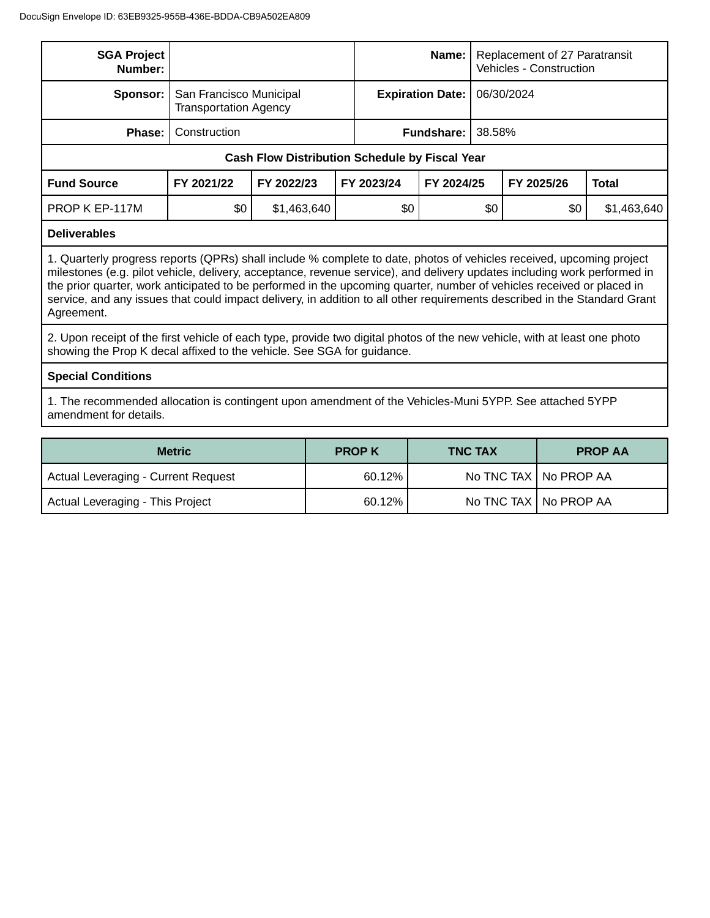| <b>SGA Project</b><br>Number:                                                                                                                                                                                                                                                                                                                                                                                                                                                                                        |                                                         |                                                       | Name:                   | Replacement of 27 Paratransit<br>Vehicles - Construction |            |            |              |
|----------------------------------------------------------------------------------------------------------------------------------------------------------------------------------------------------------------------------------------------------------------------------------------------------------------------------------------------------------------------------------------------------------------------------------------------------------------------------------------------------------------------|---------------------------------------------------------|-------------------------------------------------------|-------------------------|----------------------------------------------------------|------------|------------|--------------|
| Sponsor:                                                                                                                                                                                                                                                                                                                                                                                                                                                                                                             | San Francisco Municipal<br><b>Transportation Agency</b> |                                                       | <b>Expiration Date:</b> |                                                          | 06/30/2024 |            |              |
| Phase:                                                                                                                                                                                                                                                                                                                                                                                                                                                                                                               | Construction                                            |                                                       |                         | Fundshare:                                               | 38.58%     |            |              |
|                                                                                                                                                                                                                                                                                                                                                                                                                                                                                                                      |                                                         | <b>Cash Flow Distribution Schedule by Fiscal Year</b> |                         |                                                          |            |            |              |
| <b>Fund Source</b>                                                                                                                                                                                                                                                                                                                                                                                                                                                                                                   | FY 2021/22                                              | FY 2022/23                                            | FY 2023/24              | FY 2024/25                                               |            | FY 2025/26 | <b>Total</b> |
| PROP K EP-117M                                                                                                                                                                                                                                                                                                                                                                                                                                                                                                       | \$0                                                     | \$1,463,640                                           | \$0                     |                                                          | \$0        | \$0        | \$1,463,640  |
| <b>Deliverables</b>                                                                                                                                                                                                                                                                                                                                                                                                                                                                                                  |                                                         |                                                       |                         |                                                          |            |            |              |
| 1. Quarterly progress reports (QPRs) shall include % complete to date, photos of vehicles received, upcoming project<br>milestones (e.g. pilot vehicle, delivery, acceptance, revenue service), and delivery updates including work performed in<br>the prior quarter, work anticipated to be performed in the upcoming quarter, number of vehicles received or placed in<br>service, and any issues that could impact delivery, in addition to all other requirements described in the Standard Grant<br>Agreement. |                                                         |                                                       |                         |                                                          |            |            |              |
| 2. Upon receipt of the first vehicle of each type, provide two digital photos of the new vehicle, with at least one photo<br>showing the Prop K decal affixed to the vehicle. See SGA for guidance.                                                                                                                                                                                                                                                                                                                  |                                                         |                                                       |                         |                                                          |            |            |              |
| <b>Special Conditions</b>                                                                                                                                                                                                                                                                                                                                                                                                                                                                                            |                                                         |                                                       |                         |                                                          |            |            |              |
| 1. The recommended allocation is contingent upon amendment of the Vehicles-Muni 5YPP. See attached 5YPP<br>amendment for details.                                                                                                                                                                                                                                                                                                                                                                                    |                                                         |                                                       |                         |                                                          |            |            |              |

| <b>Metric</b>                       | <b>PROP K</b> | <b>TNC TAX</b> | <b>PROP AA</b>          |
|-------------------------------------|---------------|----------------|-------------------------|
| Actual Leveraging - Current Request | 60.12%        |                | No TNC TAX   No PROP AA |
| Actual Leveraging - This Project    | 60.12%        |                | No TNC TAX   No PROP AA |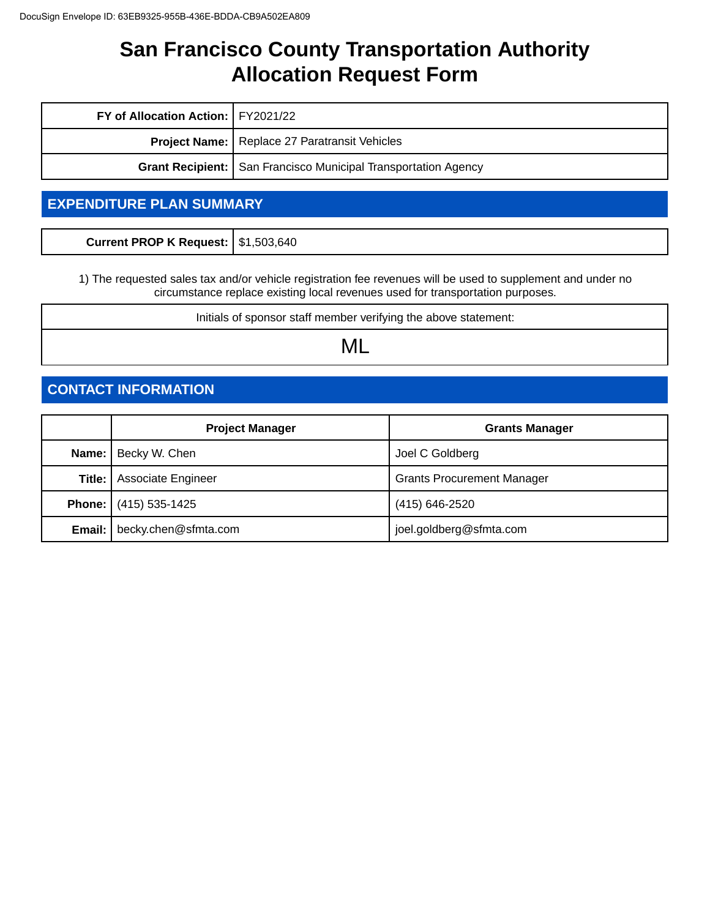| FY of Allocation Action:   FY2021/22 |                                                                       |  |
|--------------------------------------|-----------------------------------------------------------------------|--|
|                                      | <b>Project Name:</b> Replace 27 Paratransit Vehicles                  |  |
|                                      | <b>Grant Recipient:</b> San Francisco Municipal Transportation Agency |  |

# **EXPENDITURE PLAN SUMMARY**

| Current PROP K Request:   \$1,503,640 |  |
|---------------------------------------|--|
|                                       |  |

1) The requested sales tax and/or vehicle registration fee revenues will be used to supplement and under no circumstance replace existing local revenues used for transportation purposes.

Initials of sponsor staff member verifying the above statement:

ML

# **CONTACT INFORMATION**

|        | <b>Project Manager</b>               | <b>Grants Manager</b>             |
|--------|--------------------------------------|-----------------------------------|
|        | <b>Name:</b>   Becky W. Chen         | Joel C Goldberg                   |
| Title: | <b>Associate Engineer</b>            | <b>Grants Procurement Manager</b> |
|        | <b>Phone:</b> (415) 535-1425         | (415) 646-2520                    |
|        | <b>Email:</b>   becky.chen@sfmta.com | joel.goldberg@sfmta.com           |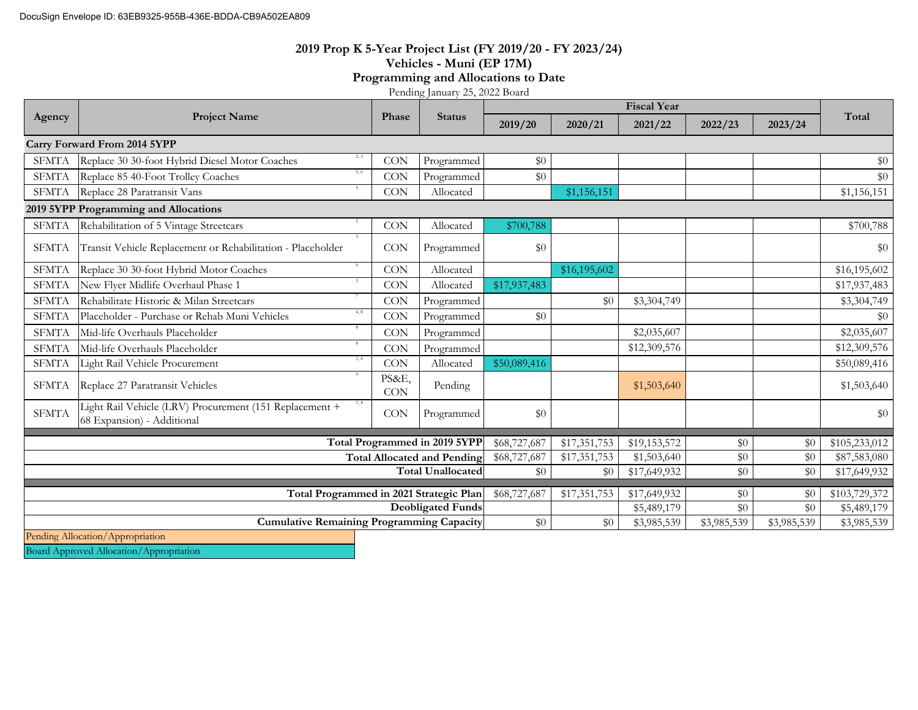#### **2019 Prop K 5-Year Project List (FY 2019/20 - FY 2023/24) Vehicles - Muni (EP 17M) Programming and Allocations to Date**

Pending January 25, 2022 Board

|                                                                     | <b>Project Name</b>                                                                           | Phase               |                               |              |              | <b>Fiscal Year</b>          |             |                           |               |
|---------------------------------------------------------------------|-----------------------------------------------------------------------------------------------|---------------------|-------------------------------|--------------|--------------|-----------------------------|-------------|---------------------------|---------------|
| Agency                                                              |                                                                                               |                     | <b>Status</b>                 | 2019/20      | 2020/21      | 2021/22                     | 2022/23     | 2023/24                   | Total         |
|                                                                     | Carry Forward From 2014 5YPP                                                                  |                     |                               |              |              |                             |             |                           |               |
| <b>SFMTA</b>                                                        | 2.3<br>Replace 30 30-foot Hybrid Diesel Motor Coaches                                         | <b>CON</b>          | Programmed                    | \$0          |              |                             |             |                           | \$0           |
| <b>SFMTA</b>                                                        | 5, 6<br>Replace 85 40-Foot Trolley Coaches                                                    | <b>CON</b>          | Programmed                    | \$0          |              |                             |             |                           | \$0           |
| <b>SFMTA</b>                                                        | Replace 28 Paratransit Vans                                                                   | CON                 | Allocated                     |              | \$1,156,151  |                             |             |                           | \$1,156,151   |
|                                                                     | 2019 5YPP Programming and Allocations                                                         |                     |                               |              |              |                             |             |                           |               |
| <b>SFMTA</b>                                                        | Rehabilitation of 5 Vintage Streetcars                                                        | <b>CON</b>          | Allocated                     | \$700,788    |              |                             |             |                           | \$700,788     |
| <b>SFMTA</b>                                                        | Transit Vehicle Replacement or Rehabilitation - Placeholder                                   | <b>CON</b>          | Programmed                    | \$0          |              |                             |             |                           | \$0           |
| <b>SFMTA</b>                                                        | 6<br>Replace 30 30-foot Hybrid Motor Coaches                                                  | <b>CON</b>          | Allocated                     |              | \$16,195,602 |                             |             |                           | \$16,195,602  |
| <b>SFMTA</b>                                                        | New Flyer Midlife Overhaul Phase 1                                                            | <b>CON</b>          | Allocated                     | \$17,937,483 |              |                             |             |                           | \$17,937,483  |
| <b>SFMTA</b>                                                        | Rehabilitate Historic & Milan Streetcars                                                      | <b>CON</b>          | Programmed                    |              | $\$0$        | \$3,304,749                 |             |                           | \$3,304,749   |
| <b>SFMTA</b>                                                        | 4, 8<br>Placeholder - Purchase or Rehab Muni Vehicles                                         | <b>CON</b>          | Programmed                    | \$0          |              |                             |             |                           | \$0           |
| <b>SFMTA</b>                                                        | Mid-life Overhauls Placeholder                                                                | <b>CON</b>          | Programmed                    |              |              | \$2,035,607                 |             |                           | \$2,035,607   |
| <b>SFMTA</b>                                                        | Mid-life Overhauls Placeholder                                                                | <b>CON</b>          | Programmed                    |              |              | \$12,309,576                |             |                           | \$12,309,576  |
| <b>SFMTA</b>                                                        | 1, 4<br>Light Rail Vehicle Procurement                                                        | <b>CON</b>          | Allocated                     | \$50,089,416 |              |                             |             |                           | \$50,089,416  |
| <b>SFMTA</b>                                                        | Replace 27 Paratransit Vehicles                                                               | PS&E,<br><b>CON</b> | Pending                       |              |              | \$1,503,640                 |             |                           | \$1,503,640   |
| <b>SFMTA</b>                                                        | 1, 4<br>Light Rail Vehicle (LRV) Procurement (151 Replacement +<br>68 Expansion) - Additional | <b>CON</b>          | Programmed                    | \$0          |              |                             |             |                           | \$0           |
|                                                                     |                                                                                               |                     | Total Programmed in 2019 5YPP | \$68,727,687 | \$17,351,753 | \$19,153,572                | \$0         | \$0                       | \$105,233,012 |
| <b>Total Allocated and Pending</b>                                  |                                                                                               |                     | \$68,727,687                  | \$17,351,753 | \$1,503,640  | \$0                         | \$0         | \$87,583,080              |               |
| <b>Total Unallocated</b>                                            |                                                                                               |                     | \$0                           | \$0          | \$17,649,932 | \$0                         | \$0         | \$17,649,932              |               |
|                                                                     |                                                                                               |                     |                               |              |              |                             |             | $\overline{$}103,729,372$ |               |
| Total Programmed in 2021 Strategic Plan<br><b>Deobligated Funds</b> |                                                                                               |                     |                               | \$68,727,687 | \$17,351,753 | \$17,649,932<br>\$5,489,179 | \$0<br>\$0  | \$0<br>\$0                | \$5,489,179   |
|                                                                     | <b>Cumulative Remaining Programming Capacity</b>                                              |                     |                               |              | \$0          | \$3,985,539                 | \$3,985,539 | \$3,985,539               | \$3,985,539   |
| \$0<br>Pending Allocation/Appropriation                             |                                                                                               |                     |                               |              |              |                             |             |                           |               |

Board Approved Allocation/Appropriation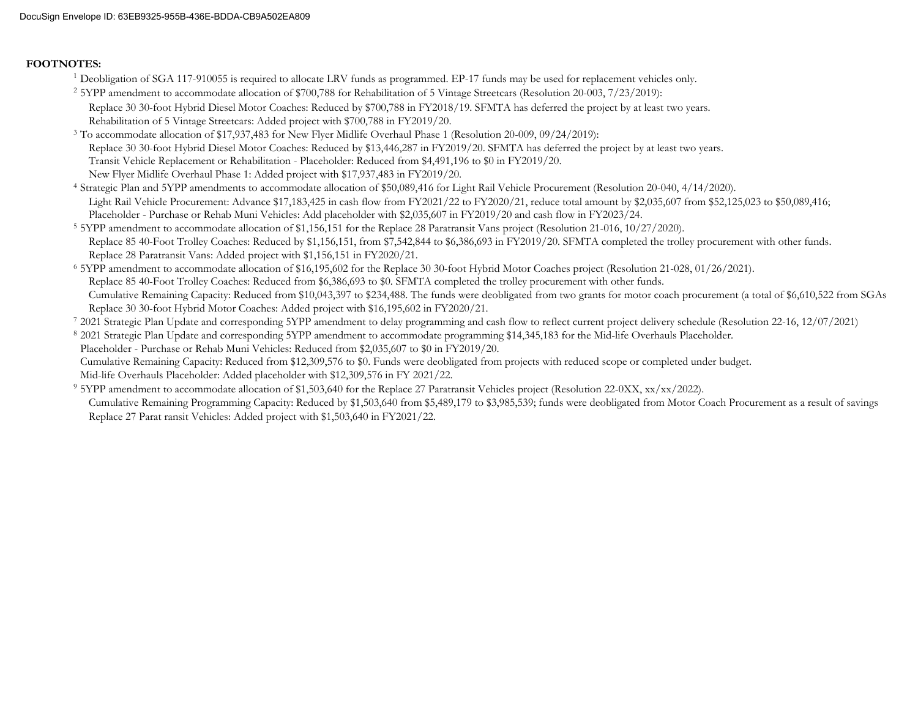#### **FOOTNOTES:**

- <sup>1</sup> Deobligation of SGA 117-910055 is required to allocate LRV funds as programmed. EP-17 funds may be used for replacement vehicles only.
- <sup>2</sup> 5YPP amendment to accommodate allocation of \$700,788 for Rehabilitation of 5 Vintage Streetcars (Resolution 20-003, 7/23/2019): Replace 30 30-foot Hybrid Diesel Motor Coaches: Reduced by \$700,788 in FY2018/19. SFMTA has deferred the project by at least two years. Rehabilitation of 5 Vintage Streetcars: Added project with \$700,788 in FY2019/20.
- 3 To accommodate allocation of \$17,937,483 for New Flyer Midlife Overhaul Phase 1 (Resolution 20-009, 09/24/2019): Replace 30 30-foot Hybrid Diesel Motor Coaches: Reduced by \$13,446,287 in FY2019/20. SFMTA has deferred the project by at least two years. Transit Vehicle Replacement or Rehabilitation - Placeholder: Reduced from \$4,491,196 to \$0 in FY2019/20. New Flyer Midlife Overhaul Phase 1: Added project with \$17,937,483 in FY2019/20.

4 Strategic Plan and 5YPP amendments to accommodate allocation of \$50,089,416 for Light Rail Vehicle Procurement (Resolution 20-040, 4/14/2020). Light Rail Vehicle Procurement: Advance \$17,183,425 in cash flow from FY2021/22 to FY2020/21, reduce total amount by \$2,035,607 from \$52,125,023 to \$50,089,416; Placeholder - Purchase or Rehab Muni Vehicles: Add placeholder with \$2,035,607 in FY2019/20 and cash flow in FY2023/24.

- 5 5YPP amendment to accommodate allocation of \$1,156,151 for the Replace 28 Paratransit Vans project (Resolution 21-016, 10/27/2020). Replace 85 40-Foot Trolley Coaches: Reduced by \$1,156,151, from \$7,542,844 to \$6,386,693 in FY2019/20. SFMTA completed the trolley procurement with other funds. Replace 28 Paratransit Vans: Added project with \$1,156,151 in FY2020/21.
- 6 5YPP amendment to accommodate allocation of \$16,195,602 for the Replace 30 30-foot Hybrid Motor Coaches project (Resolution 21-028, 01/26/2021). Replace 85 40-Foot Trolley Coaches: Reduced from \$6,386,693 to \$0. SFMTA completed the trolley procurement with other funds. Cumulative Remaining Capacity: Reduced from \$10,043,397 to \$234,488. The funds were deobligated from two grants for motor coach procurement (a total of \$6,610,522 from SGAs Replace 30 30-foot Hybrid Motor Coaches: Added project with \$16,195,602 in FY2020/21.
- 7 2021 Strategic Plan Update and corresponding 5YPP amendment to delay programming and cash flow to reflect current project delivery schedule (Resolution 22-16, 12/07/2021)
- 8 2021 Strategic Plan Update and corresponding 5YPP amendment to accommodate programming \$14,345,183 for the Mid-life Overhauls Placeholder.
- Placeholder Purchase or Rehab Muni Vehicles: Reduced from \$2,035,607 to \$0 in FY2019/20.

Cumulative Remaining Capacity: Reduced from \$12,309,576 to \$0. Funds were deobligated from projects with reduced scope or completed under budget.

- Mid-life Overhauls Placeholder: Added placeholder with \$12,309,576 in FY 2021/22.
- 9 5YPP amendment to accommodate allocation of \$1,503,640 for the Replace 27 Paratransit Vehicles project (Resolution 22-0XX, xx/xx/2022). Replace 27 Parat ransit Vehicles: Added project with \$1,503,640 in FY2021/22. Cumulative Remaining Programming Capacity: Reduced by \$1,503,640 from \$5,489,179 to \$3,985,539; funds were deobligated from Motor Coach Procurement as a result of savings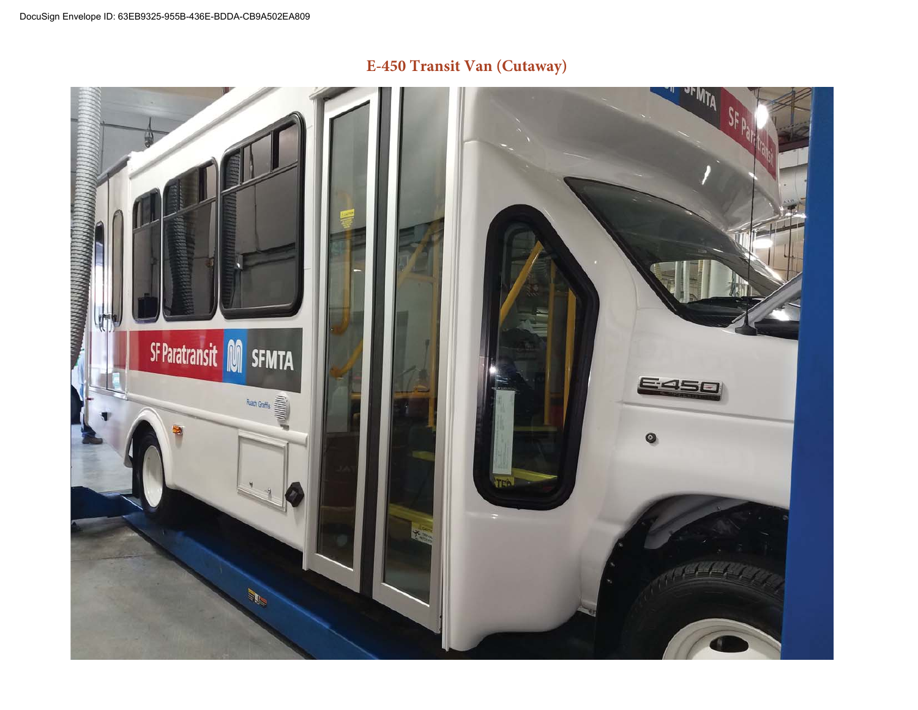

# **E-450 Transit Van (Cutaway)**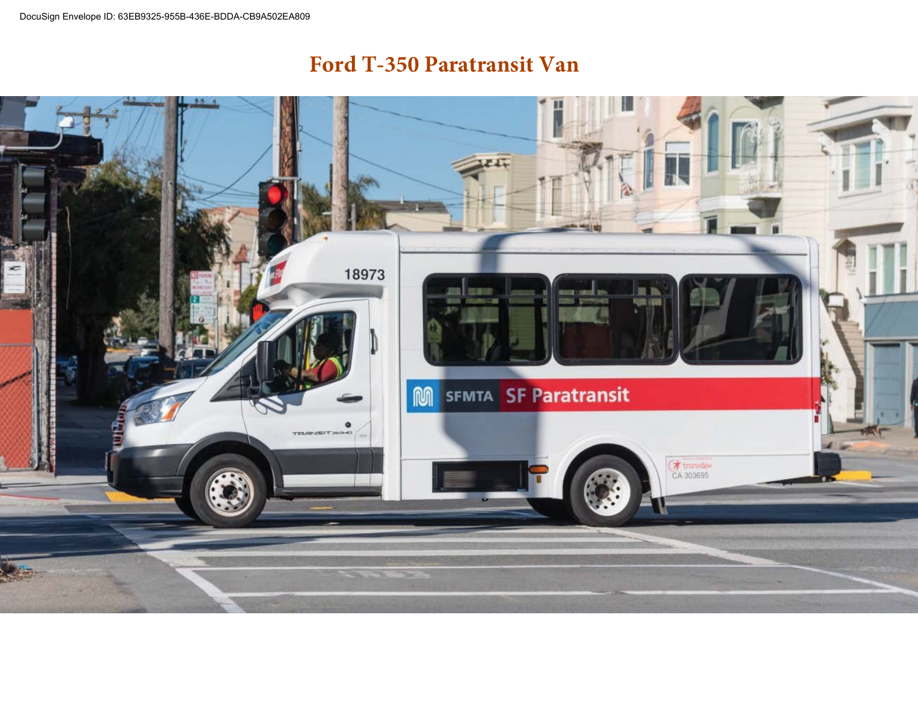# **Ford T-350 Paratransit Van**

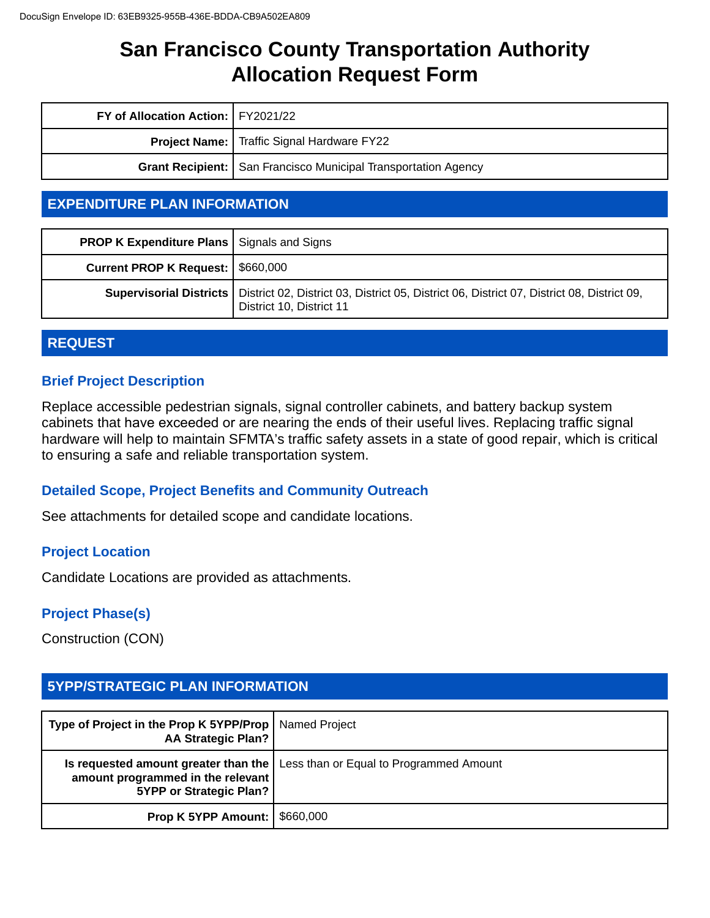| FY of Allocation Action:   FY2021/22 |                                                                       |
|--------------------------------------|-----------------------------------------------------------------------|
|                                      | <b>Project Name:</b> Traffic Signal Hardware FY22                     |
|                                      | <b>Grant Recipient:</b> San Francisco Municipal Transportation Agency |

# **EXPENDITURE PLAN INFORMATION**

| <b>PROP K Expenditure Plans   Signals and Signs</b> |                                                                                                                                                  |
|-----------------------------------------------------|--------------------------------------------------------------------------------------------------------------------------------------------------|
| Current PROP K Request:   \$660,000                 |                                                                                                                                                  |
|                                                     | Supervisorial Districts   District 02, District 03, District 05, District 06, District 07, District 08, District 09,<br>District 10, District 11 |

# **REQUEST**

# **Brief Project Description**

Replace accessible pedestrian signals, signal controller cabinets, and battery backup system cabinets that have exceeded or are nearing the ends of their useful lives. Replacing traffic signal hardware will help to maintain SFMTA's traffic safety assets in a state of good repair, which is critical to ensuring a safe and reliable transportation system.

# **Detailed Scope, Project Benefits and Community Outreach**

See attachments for detailed scope and candidate locations.

# **Project Location**

Candidate Locations are provided as attachments.

### **Project Phase(s)**

Construction (CON)

# **5YPP/STRATEGIC PLAN INFORMATION**

| Type of Project in the Prop K 5YPP/Prop   Named Project<br><b>AA Strategic Plan?</b> |                                                                                       |
|--------------------------------------------------------------------------------------|---------------------------------------------------------------------------------------|
| amount programmed in the relevant<br>5YPP or Strategic Plan?                         | <b>Is requested amount greater than the   Less than or Equal to Programmed Amount</b> |
| <b>Prop K 5YPP Amount:   \$660,000</b>                                               |                                                                                       |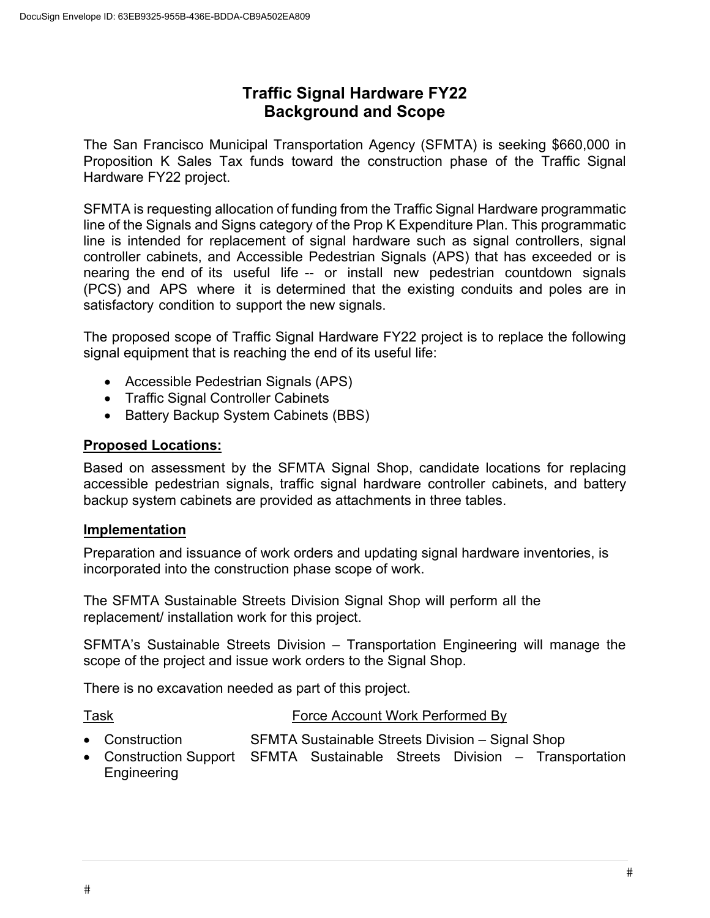# **Traffic Signal Hardware FY22 Background and Scope**

The San Francisco Municipal Transportation Agency (SFMTA) is seeking \$660,000 in Proposition K Sales Tax funds toward the construction phase of the Traffic Signal Hardware FY22 project.

SFMTA is requesting allocation of funding from the Traffic Signal Hardware programmatic line of the Signals and Signs category of the Prop K Expenditure Plan. This programmatic line is intended for replacement of signal hardware such as signal controllers, signal controller cabinets, and Accessible Pedestrian Signals (APS) that has exceeded or is nearing the end of its useful life -- or install new pedestrian countdown signals (PCS) and APS where it is determined that the existing conduits and poles are in satisfactory condition to support the new signals.

The proposed scope of Traffic Signal Hardware FY22 project is to replace the following signal equipment that is reaching the end of its useful life:

- Accessible Pedestrian Signals (APS)
- Traffic Signal Controller Cabinets
- Battery Backup System Cabinets (BBS)

### **Proposed Locations:**

Based on assessment by the SFMTA Signal Shop, candidate locations for replacing accessible pedestrian signals, traffic signal hardware controller cabinets, and battery backup system cabinets are provided as attachments in three tables.

### **Implementation**

Preparation and issuance of work orders and updating signal hardware inventories, is incorporated into the construction phase scope of work.

The SFMTA Sustainable Streets Division Signal Shop will perform all the replacement/ installation work for this project.

SFMTA's Sustainable Streets Division – Transportation Engineering will manage the scope of the project and issue work orders to the Signal Shop.

There is no excavation needed as part of this project.

- Task Force Account Work Performed By
- Construction SFMTA Sustainable Streets Division Signal Shop
- Construction Support SFMTA Sustainable Streets Division Transportation Engineering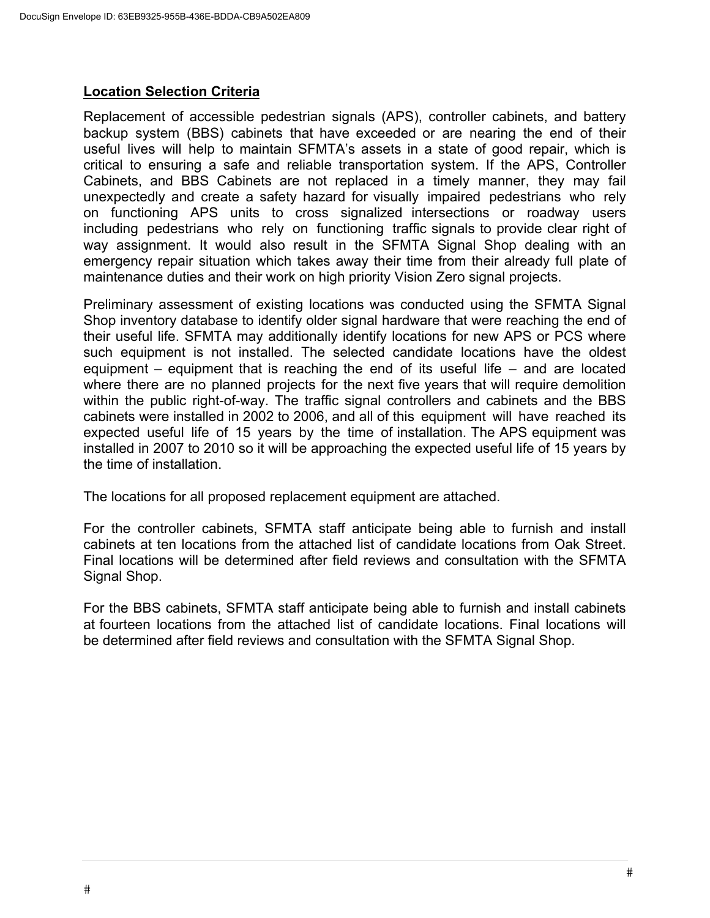### **Location Selection Criteria**

Replacement of accessible pedestrian signals (APS), controller cabinets, and battery backup system (BBS) cabinets that have exceeded or are nearing the end of their useful lives will help to maintain SFMTA's assets in a state of good repair, which is critical to ensuring a safe and reliable transportation system. If the APS, Controller Cabinets, and BBS Cabinets are not replaced in a timely manner, they may fail unexpectedly and create a safety hazard for visually impaired pedestrians who rely on functioning APS units to cross signalized intersections or roadway users including pedestrians who rely on functioning traffic signals to provide clear right of way assignment. It would also result in the SFMTA Signal Shop dealing with an emergency repair situation which takes away their time from their already full plate of maintenance duties and their work on high priority Vision Zero signal projects.

Preliminary assessment of existing locations was conducted using the SFMTA Signal Shop inventory database to identify older signal hardware that were reaching the end of their useful life. SFMTA may additionally identify locations for new APS or PCS where such equipment is not installed. The selected candidate locations have the oldest equipment – equipment that is reaching the end of its useful life – and are located where there are no planned projects for the next five years that will require demolition within the public right-of-way. The traffic signal controllers and cabinets and the BBS cabinets were installed in 2002 to 2006, and all of this equipment will have reached its expected useful life of 15 years by the time of installation. The APS equipment was installed in 2007 to 2010 so it will be approaching the expected useful life of 15 years by the time of installation.

The locations for all proposed replacement equipment are attached.

For the controller cabinets, SFMTA staff anticipate being able to furnish and install cabinets at ten locations from the attached list of candidate locations from Oak Street. Final locations will be determined after field reviews and consultation with the SFMTA Signal Shop.

For the BBS cabinets, SFMTA staff anticipate being able to furnish and install cabinets at fourteen locations from the attached list of candidate locations. Final locations will be determined after field reviews and consultation with the SFMTA Signal Shop.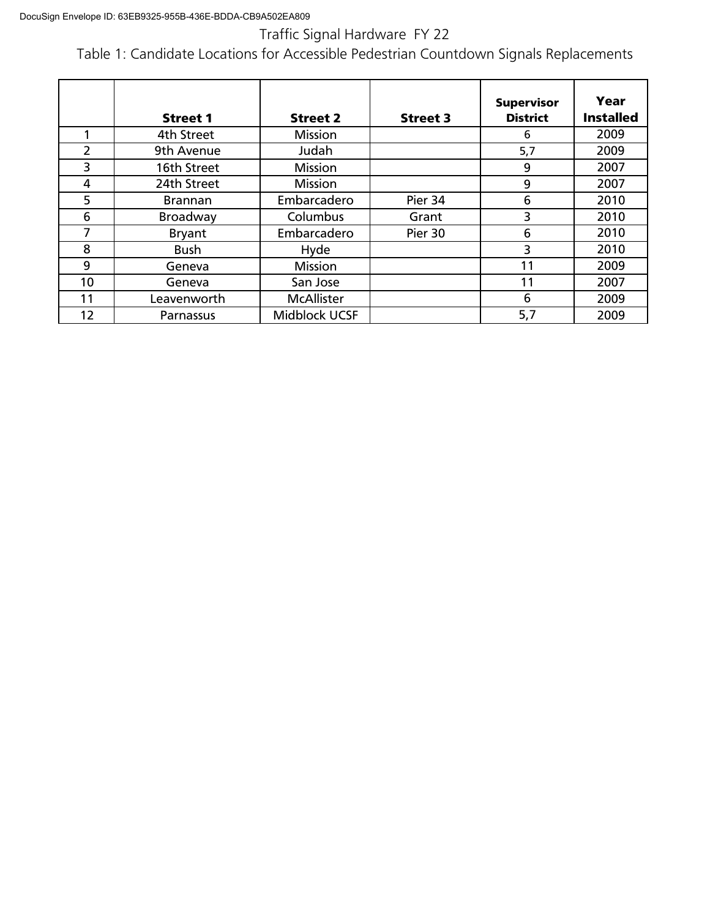Traffic Signal Hardware FY 22

Table 1: Candidate Locations for Accessible Pedestrian Countdown Signals Replacements

|    | <b>Street 1</b> | <b>Street 2</b>   | <b>Street 3</b> | <b>Supervisor</b><br><b>District</b> | Year<br><b>Installed</b> |
|----|-----------------|-------------------|-----------------|--------------------------------------|--------------------------|
|    | 4th Street      | <b>Mission</b>    |                 | 6                                    | 2009                     |
| 2  | 9th Avenue      | Judah             |                 | 5,7                                  | 2009                     |
| 3  | 16th Street     | Mission           |                 | 9                                    | 2007                     |
| 4  | 24th Street     | Mission           |                 | 9                                    | 2007                     |
| 5  | <b>Brannan</b>  | Embarcadero       | Pier 34         | 6                                    | 2010                     |
| 6  | Broadway        | Columbus          | Grant           | 3                                    | 2010                     |
| 7  | <b>Bryant</b>   | Embarcadero       | Pier 30         | 6                                    | 2010                     |
| 8  | <b>Bush</b>     | Hyde              |                 | 3                                    | 2010                     |
| 9  | Geneva          | <b>Mission</b>    |                 | 11                                   | 2009                     |
| 10 | Geneva          | San Jose          |                 | 11                                   | 2007                     |
| 11 | Leavenworth     | <b>McAllister</b> |                 | 6                                    | 2009                     |
| 12 | Parnassus       | Midblock UCSF     |                 | 5,7                                  | 2009                     |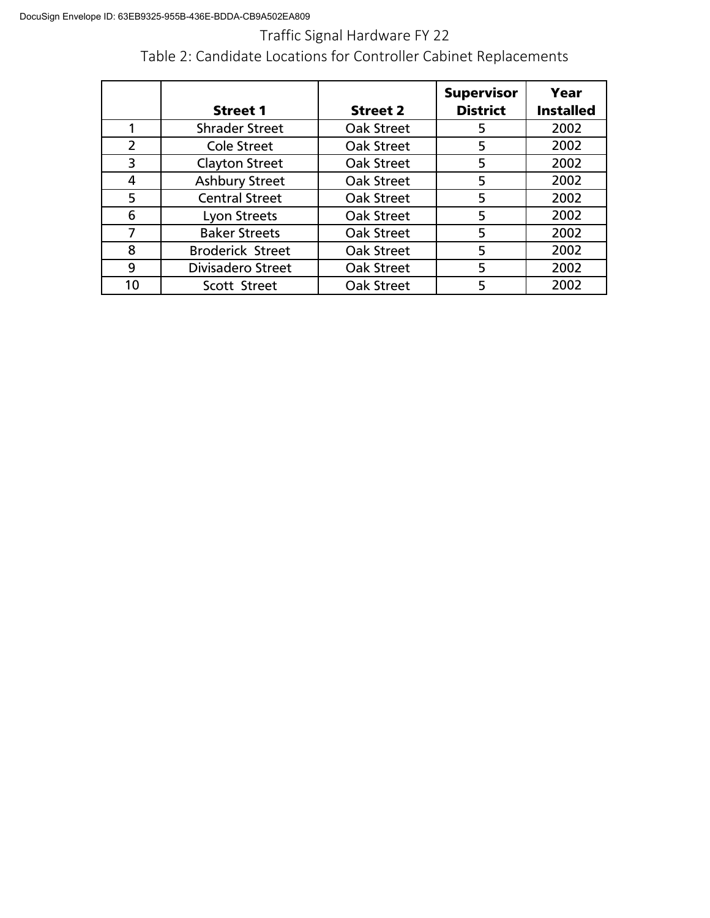Traffic Signal Hardware FY 22

Table 2: Candidate Locations for Controller Cabinet Replacements

|                |                         |                 | <b>Supervisor</b> | Year             |
|----------------|-------------------------|-----------------|-------------------|------------------|
|                | <b>Street 1</b>         | <b>Street 2</b> | <b>District</b>   | <b>Installed</b> |
| 1              | <b>Shrader Street</b>   | Oak Street      | 5                 | 2002             |
| $\overline{2}$ | <b>Cole Street</b>      | Oak Street      | 5                 | 2002             |
| 3              | <b>Clayton Street</b>   | Oak Street      | 5                 | 2002             |
| 4              | <b>Ashbury Street</b>   | Oak Street      | 5                 | 2002             |
| 5              | <b>Central Street</b>   | Oak Street      | 5                 | 2002             |
| 6              | Lyon Streets            | Oak Street      | 5                 | 2002             |
| 7              | <b>Baker Streets</b>    | Oak Street      | 5                 | 2002             |
| 8              | <b>Broderick Street</b> | Oak Street      | 5                 | 2002             |
| 9              | Divisadero Street       | Oak Street      | 5                 | 2002             |
| 10             | Scott Street            | Oak Street      | 5                 | 2002             |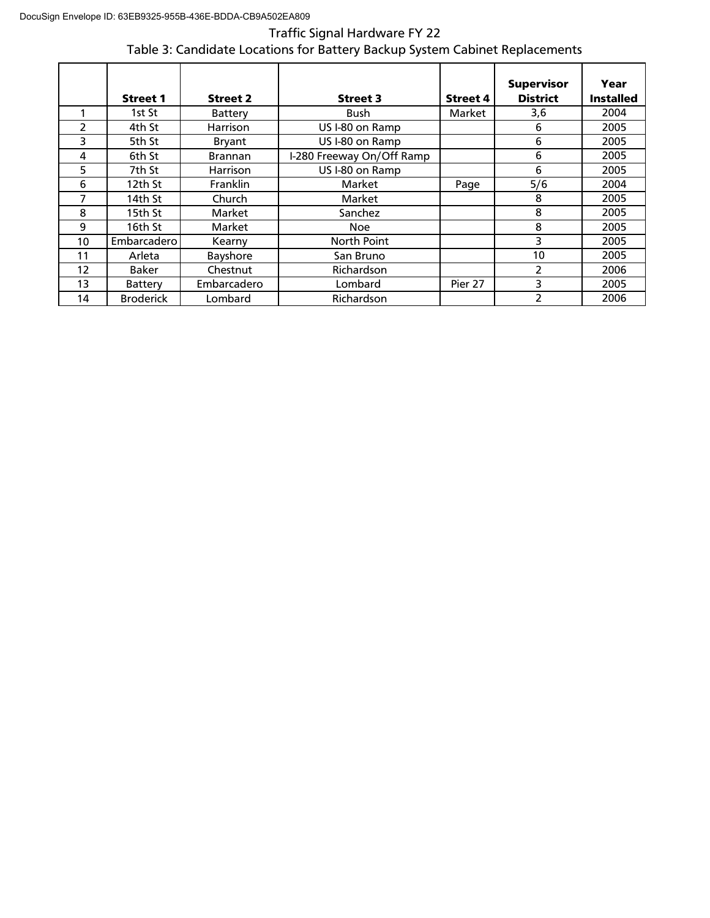# Traffic Signal Hardware FY 22 Table 3: Candidate Locations for Battery Backup System Cabinet Replacements

|               | <b>Street 1</b>  | <b>Street 2</b> | <b>Street 3</b>           | <b>Street 4</b> | <b>Supervisor</b><br><b>District</b> | Year<br><b>Installed</b> |
|---------------|------------------|-----------------|---------------------------|-----------------|--------------------------------------|--------------------------|
|               | 1st St           | Battery         | <b>Bush</b>               | Market          | 3,6                                  | 2004                     |
| $\mathcal{P}$ | 4th St           | <b>Harrison</b> | US I-80 on Ramp           |                 | 6                                    | 2005                     |
| 3             | 5th St           | Bryant          | US I-80 on Ramp           |                 | 6                                    | 2005                     |
| 4             | 6th St           | <b>Brannan</b>  | I-280 Freeway On/Off Ramp |                 | 6                                    | 2005                     |
| 5             | 7th St           | Harrison        | US I-80 on Ramp           |                 | 6                                    | 2005                     |
| 6             | 12th St          | <b>Franklin</b> | Market                    | Page            | 5/6                                  | 2004                     |
| 7             | 14th St          | Church          | <b>Market</b>             |                 | 8                                    | 2005                     |
| 8             | 15th St          | Market          | Sanchez                   |                 | 8                                    | 2005                     |
| 9             | 16th St          | Market          | <b>Noe</b>                |                 | 8                                    | 2005                     |
| 10            | Embarcadero      | Kearny          | North Point               |                 | 3                                    | 2005                     |
| 11            | Arleta           | Bayshore        | San Bruno                 |                 | 10                                   | 2005                     |
| 12            | Baker            | Chestnut        | Richardson                |                 | 2                                    | 2006                     |
| 13            | Battery          | Embarcadero     | Lombard                   | Pier 27         | 3                                    | 2005                     |
| 14            | <b>Broderick</b> | Lombard         | Richardson                |                 | 2                                    | 2006                     |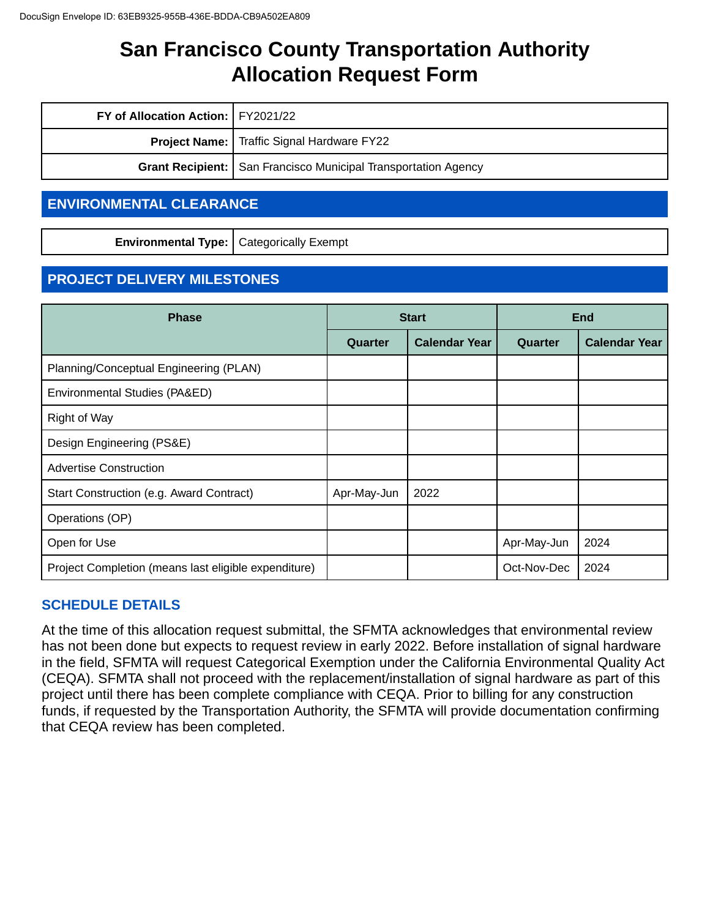| FY of Allocation Action:   FY2021/22 |                                                                       |
|--------------------------------------|-----------------------------------------------------------------------|
|                                      | <b>Project Name:</b>   Traffic Signal Hardware FY22                   |
|                                      | <b>Grant Recipient:</b> San Francisco Municipal Transportation Agency |

# **ENVIRONMENTAL CLEARANCE**

**Environmental Type:** Categorically Exempt

# **PROJECT DELIVERY MILESTONES**

| <b>Phase</b>                                         |             | <b>Start</b>         | <b>End</b>  |                      |
|------------------------------------------------------|-------------|----------------------|-------------|----------------------|
|                                                      | Quarter     | <b>Calendar Year</b> | Quarter     | <b>Calendar Year</b> |
| Planning/Conceptual Engineering (PLAN)               |             |                      |             |                      |
| Environmental Studies (PA&ED)                        |             |                      |             |                      |
| <b>Right of Way</b>                                  |             |                      |             |                      |
| Design Engineering (PS&E)                            |             |                      |             |                      |
| <b>Advertise Construction</b>                        |             |                      |             |                      |
| Start Construction (e.g. Award Contract)             | Apr-May-Jun | 2022                 |             |                      |
| Operations (OP)                                      |             |                      |             |                      |
| Open for Use                                         |             |                      | Apr-May-Jun | 2024                 |
| Project Completion (means last eligible expenditure) |             |                      | Oct-Nov-Dec | 2024                 |

# **SCHEDULE DETAILS**

At the time of this allocation request submittal, the SFMTA acknowledges that environmental review has not been done but expects to request review in early 2022. Before installation of signal hardware in the field, SFMTA will request Categorical Exemption under the California Environmental Quality Act (CEQA). SFMTA shall not proceed with the replacement/installation of signal hardware as part of this project until there has been complete compliance with CEQA. Prior to billing for any construction funds, if requested by the Transportation Authority, the SFMTA will provide documentation confirming that CEQA review has been completed.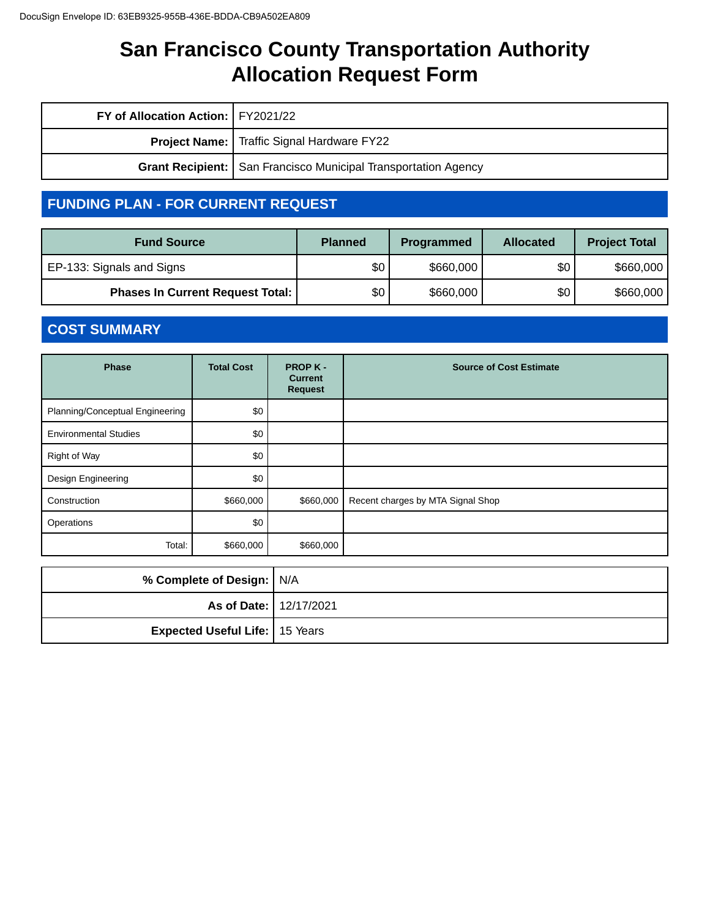| FY of Allocation Action:   FY2021/22 |                                                                  |
|--------------------------------------|------------------------------------------------------------------|
|                                      | <b>Project Name:</b> Traffic Signal Hardware FY22                |
|                                      | Grant Recipient:   San Francisco Municipal Transportation Agency |

# **FUNDING PLAN - FOR CURRENT REQUEST**

| <b>Fund Source</b>                      | <b>Planned</b> | Programmed | <b>Allocated</b> | <b>Project Total</b> |
|-----------------------------------------|----------------|------------|------------------|----------------------|
| EP-133: Signals and Signs               | \$0            | \$660,000  | \$0              | \$660,000            |
| <b>Phases In Current Request Total:</b> | \$0            | \$660,000  | \$0              | \$660,000            |

# **COST SUMMARY**

| <b>Phase</b>                    | <b>Total Cost</b> | <b>PROP K-</b><br><b>Current</b><br><b>Request</b> | <b>Source of Cost Estimate</b>    |
|---------------------------------|-------------------|----------------------------------------------------|-----------------------------------|
| Planning/Conceptual Engineering | \$0               |                                                    |                                   |
| <b>Environmental Studies</b>    | \$0               |                                                    |                                   |
| Right of Way                    | \$0               |                                                    |                                   |
| Design Engineering              | \$0               |                                                    |                                   |
| Construction                    | \$660,000         | \$660,000                                          | Recent charges by MTA Signal Shop |
| Operations                      | \$0               |                                                    |                                   |
| Total:                          | \$660,000         | \$660,000                                          |                                   |

| % Complete of Design:   N/A           |  |
|---------------------------------------|--|
| As of Date:   12/17/2021              |  |
| <b>Expected Useful Life:</b> 15 Years |  |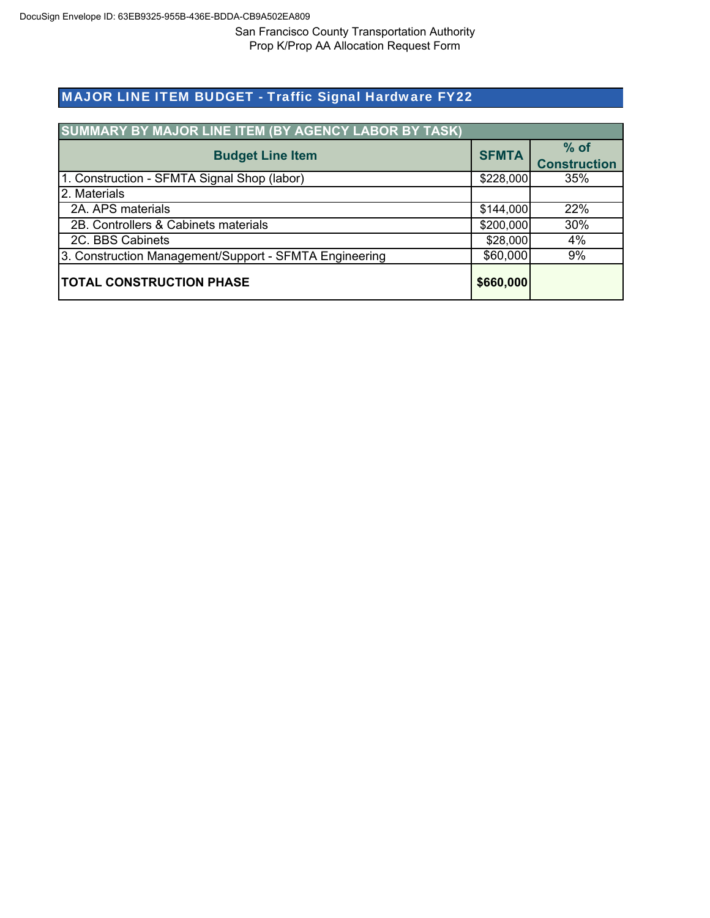# MAJOR LINE ITEM BUDGET - Traffic Signal Hardware FY22

| SUMMARY BY MAJOR LINE ITEM (BY AGENCY LABOR BY TASK)   |              |                               |
|--------------------------------------------------------|--------------|-------------------------------|
| <b>Budget Line Item</b>                                | <b>SFMTA</b> | $%$ of<br><b>Construction</b> |
| 1. Construction - SFMTA Signal Shop (labor)            | \$228,000    | 35%                           |
| 2. Materials                                           |              |                               |
| 2A. APS materials                                      | \$144,000    | 22%                           |
| 2B. Controllers & Cabinets materials                   | \$200,000    | 30%                           |
| 2C. BBS Cabinets                                       | \$28,000     | 4%                            |
| 3. Construction Management/Support - SFMTA Engineering | \$60,000     | 9%                            |
| <b>TOTAL CONSTRUCTION PHASE</b>                        | \$660,000    |                               |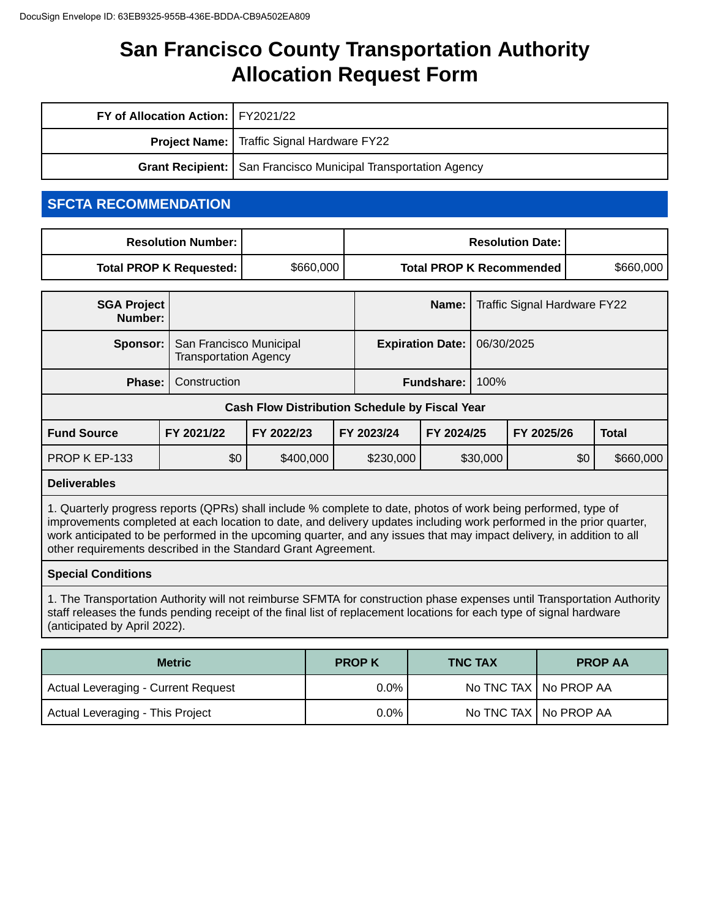| FY of Allocation Action:   FY2021/22                                    |                                                   |  |
|-------------------------------------------------------------------------|---------------------------------------------------|--|
|                                                                         | <b>Project Name:</b> Traffic Signal Hardware FY22 |  |
| <b>Grant Recipient:</b>   San Francisco Municipal Transportation Agency |                                                   |  |

# **SFCTA RECOMMENDATION**

|           | <b>Resolution Date: I</b>       |           | <b>Resolution Number: I</b> |
|-----------|---------------------------------|-----------|-----------------------------|
| \$660,000 | <b>Total PROP K Recommended</b> | \$660,000 | Total PROP K Requested:     |

| <b>SGA Project</b><br>Number:                         |              |                                                         |            |                         | Name:                     | Traffic Signal Hardware FY22 |            |     |              |
|-------------------------------------------------------|--------------|---------------------------------------------------------|------------|-------------------------|---------------------------|------------------------------|------------|-----|--------------|
| Sponsor:                                              |              | San Francisco Municipal<br><b>Transportation Agency</b> |            | <b>Expiration Date:</b> |                           | 06/30/2025                   |            |     |              |
| Phase:                                                | Construction |                                                         |            |                         | 100%<br><b>Fundshare:</b> |                              |            |     |              |
| <b>Cash Flow Distribution Schedule by Fiscal Year</b> |              |                                                         |            |                         |                           |                              |            |     |              |
| <b>Fund Source</b>                                    | FY 2021/22   | FY 2022/23                                              | FY 2023/24 |                         | FY 2024/25                |                              | FY 2025/26 |     | <b>Total</b> |
| PROP K EP-133                                         | \$0          | \$400,000                                               |            | \$230,000               |                           | \$30,000                     |            | \$0 | \$660,000    |

#### **Deliverables**

1. Quarterly progress reports (QPRs) shall include % complete to date, photos of work being performed, type of improvements completed at each location to date, and delivery updates including work performed in the prior quarter, work anticipated to be performed in the upcoming quarter, and any issues that may impact delivery, in addition to all other requirements described in the Standard Grant Agreement.

#### **Special Conditions**

1. The Transportation Authority will not reimburse SFMTA for construction phase expenses until Transportation Authority staff releases the funds pending receipt of the final list of replacement locations for each type of signal hardware (anticipated by April 2022).

| <b>Metric</b>                              | <b>PROP K</b> | <b>TNC TAX</b> | <b>PROP AA</b>          |
|--------------------------------------------|---------------|----------------|-------------------------|
| <b>Actual Leveraging - Current Request</b> | 0.0%          |                | No TNC TAX   No PROP AA |
| Actual Leveraging - This Project           | 0.0%          |                | No TNC TAX   No PROP AA |